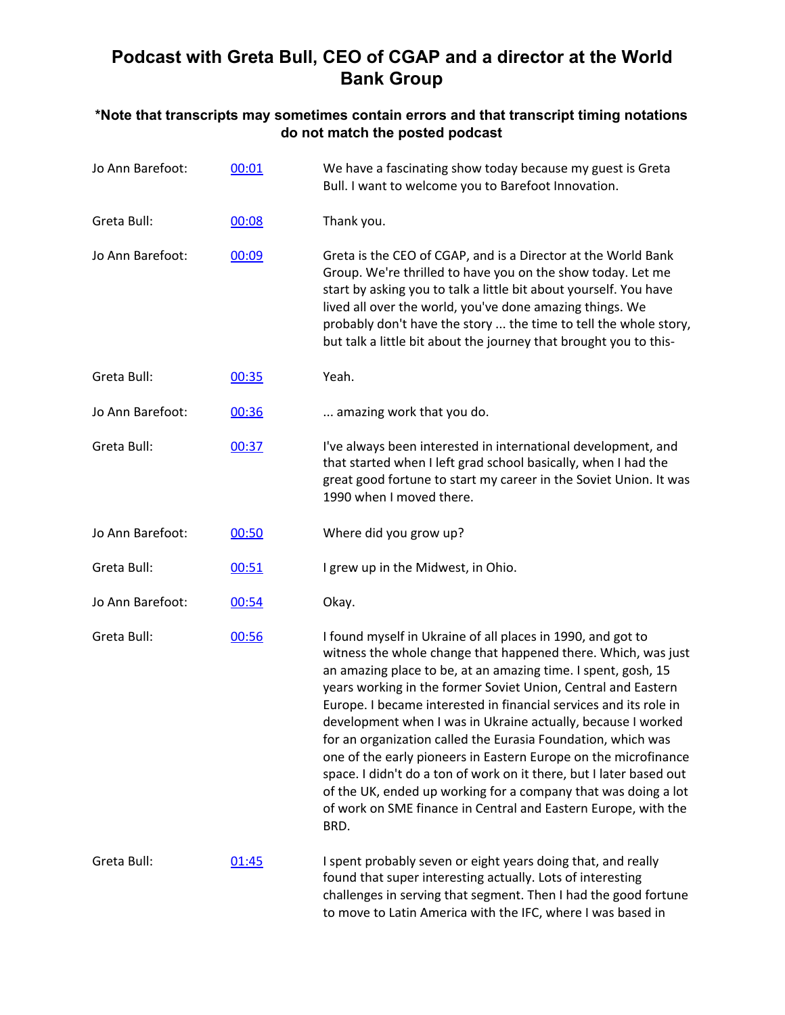## **Podcast with Greta Bull, CEO of CGAP and a director at the World Bank Group**

## **\*Note that transcripts may sometimes contain errors and that transcript timing notations do not match the posted podcast**

| Jo Ann Barefoot: | 00:01 | We have a fascinating show today because my guest is Greta<br>Bull. I want to welcome you to Barefoot Innovation.                                                                                                                                                                                                                                                                                                                                                                                                                                                                                                                                                                                                                                         |
|------------------|-------|-----------------------------------------------------------------------------------------------------------------------------------------------------------------------------------------------------------------------------------------------------------------------------------------------------------------------------------------------------------------------------------------------------------------------------------------------------------------------------------------------------------------------------------------------------------------------------------------------------------------------------------------------------------------------------------------------------------------------------------------------------------|
| Greta Bull:      | 00:08 | Thank you.                                                                                                                                                                                                                                                                                                                                                                                                                                                                                                                                                                                                                                                                                                                                                |
| Jo Ann Barefoot: | 00:09 | Greta is the CEO of CGAP, and is a Director at the World Bank<br>Group. We're thrilled to have you on the show today. Let me<br>start by asking you to talk a little bit about yourself. You have<br>lived all over the world, you've done amazing things. We<br>probably don't have the story  the time to tell the whole story,<br>but talk a little bit about the journey that brought you to this-                                                                                                                                                                                                                                                                                                                                                    |
| Greta Bull:      | 00:35 | Yeah.                                                                                                                                                                                                                                                                                                                                                                                                                                                                                                                                                                                                                                                                                                                                                     |
| Jo Ann Barefoot: | 00:36 | amazing work that you do.                                                                                                                                                                                                                                                                                                                                                                                                                                                                                                                                                                                                                                                                                                                                 |
| Greta Bull:      | 00:37 | I've always been interested in international development, and<br>that started when I left grad school basically, when I had the<br>great good fortune to start my career in the Soviet Union. It was<br>1990 when I moved there.                                                                                                                                                                                                                                                                                                                                                                                                                                                                                                                          |
| Jo Ann Barefoot: | 00:50 | Where did you grow up?                                                                                                                                                                                                                                                                                                                                                                                                                                                                                                                                                                                                                                                                                                                                    |
| Greta Bull:      | 00:51 | I grew up in the Midwest, in Ohio.                                                                                                                                                                                                                                                                                                                                                                                                                                                                                                                                                                                                                                                                                                                        |
| Jo Ann Barefoot: | 00:54 | Okay.                                                                                                                                                                                                                                                                                                                                                                                                                                                                                                                                                                                                                                                                                                                                                     |
| Greta Bull:      | 00:56 | I found myself in Ukraine of all places in 1990, and got to<br>witness the whole change that happened there. Which, was just<br>an amazing place to be, at an amazing time. I spent, gosh, 15<br>years working in the former Soviet Union, Central and Eastern<br>Europe. I became interested in financial services and its role in<br>development when I was in Ukraine actually, because I worked<br>for an organization called the Eurasia Foundation, which was<br>one of the early pioneers in Eastern Europe on the microfinance<br>space. I didn't do a ton of work on it there, but I later based out<br>of the UK, ended up working for a company that was doing a lot<br>of work on SME finance in Central and Eastern Europe, with the<br>BRD. |
| Greta Bull:      | 01:45 | I spent probably seven or eight years doing that, and really<br>found that super interesting actually. Lots of interesting<br>challenges in serving that segment. Then I had the good fortune<br>to move to Latin America with the IFC, where I was based in                                                                                                                                                                                                                                                                                                                                                                                                                                                                                              |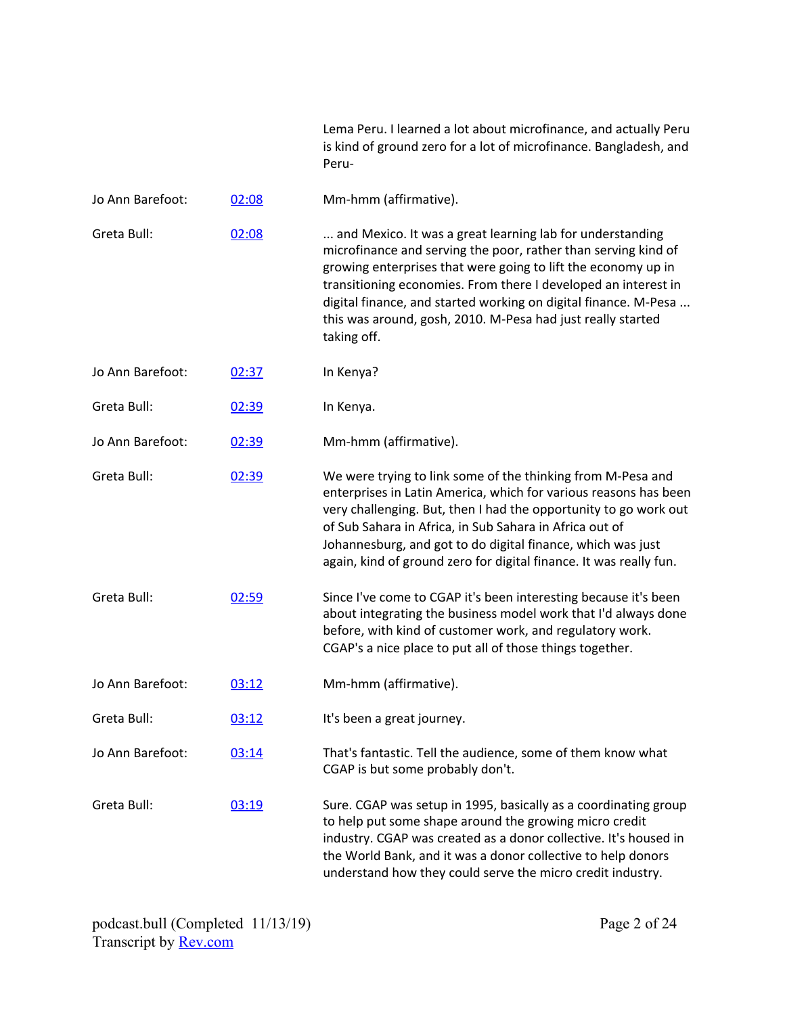|                  |       | Lema Peru. I learned a lot about microfinance, and actually Peru<br>is kind of ground zero for a lot of microfinance. Bangladesh, and<br>Peru-                                                                                                                                                                                                                                                                  |
|------------------|-------|-----------------------------------------------------------------------------------------------------------------------------------------------------------------------------------------------------------------------------------------------------------------------------------------------------------------------------------------------------------------------------------------------------------------|
| Jo Ann Barefoot: | 02:08 | Mm-hmm (affirmative).                                                                                                                                                                                                                                                                                                                                                                                           |
| Greta Bull:      | 02:08 | and Mexico. It was a great learning lab for understanding<br>microfinance and serving the poor, rather than serving kind of<br>growing enterprises that were going to lift the economy up in<br>transitioning economies. From there I developed an interest in<br>digital finance, and started working on digital finance. M-Pesa<br>this was around, gosh, 2010. M-Pesa had just really started<br>taking off. |
| Jo Ann Barefoot: | 02:37 | In Kenya?                                                                                                                                                                                                                                                                                                                                                                                                       |
| Greta Bull:      | 02:39 | In Kenya.                                                                                                                                                                                                                                                                                                                                                                                                       |
| Jo Ann Barefoot: | 02:39 | Mm-hmm (affirmative).                                                                                                                                                                                                                                                                                                                                                                                           |
| Greta Bull:      | 02:39 | We were trying to link some of the thinking from M-Pesa and<br>enterprises in Latin America, which for various reasons has been<br>very challenging. But, then I had the opportunity to go work out<br>of Sub Sahara in Africa, in Sub Sahara in Africa out of<br>Johannesburg, and got to do digital finance, which was just<br>again, kind of ground zero for digital finance. It was really fun.             |
| Greta Bull:      | 02:59 | Since I've come to CGAP it's been interesting because it's been<br>about integrating the business model work that I'd always done<br>before, with kind of customer work, and regulatory work.<br>CGAP's a nice place to put all of those things together.                                                                                                                                                       |
| Jo Ann Barefoot: | 03:12 | Mm-hmm (affirmative).                                                                                                                                                                                                                                                                                                                                                                                           |
| Greta Bull:      | 03:12 | It's been a great journey.                                                                                                                                                                                                                                                                                                                                                                                      |
| Jo Ann Barefoot: | 03:14 | That's fantastic. Tell the audience, some of them know what<br>CGAP is but some probably don't.                                                                                                                                                                                                                                                                                                                 |
| Greta Bull:      | 03:19 | Sure. CGAP was setup in 1995, basically as a coordinating group<br>to help put some shape around the growing micro credit<br>industry. CGAP was created as a donor collective. It's housed in<br>the World Bank, and it was a donor collective to help donors<br>understand how they could serve the micro credit industry.                                                                                     |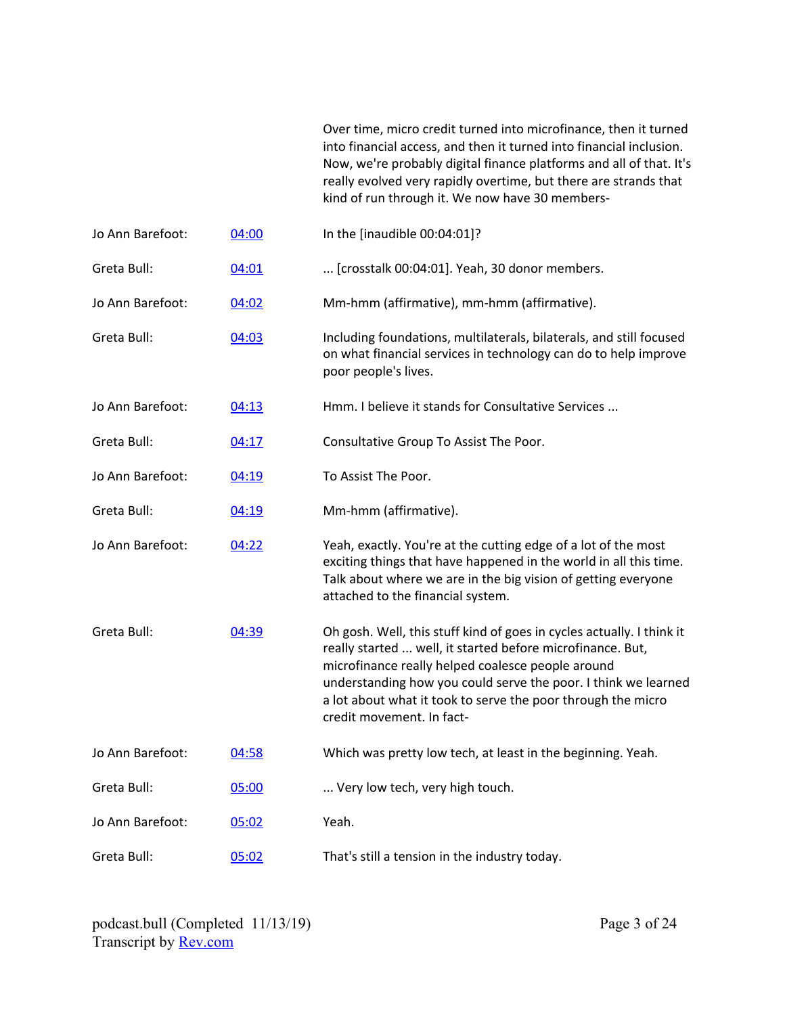Over time, micro credit turned into microfinance, then it turned into financial access, and then it turned into financial inclusion. Now, we're probably digital finance platforms and all of that. It's really evolved very rapidly overtime, but there are strands that kind of run through it. We now have 30 members-

| Including foundations, multilaterals, bilaterals, and still focused<br>on what financial services in technology can do to help improve                                                                                                                                |
|-----------------------------------------------------------------------------------------------------------------------------------------------------------------------------------------------------------------------------------------------------------------------|
|                                                                                                                                                                                                                                                                       |
|                                                                                                                                                                                                                                                                       |
|                                                                                                                                                                                                                                                                       |
|                                                                                                                                                                                                                                                                       |
|                                                                                                                                                                                                                                                                       |
|                                                                                                                                                                                                                                                                       |
|                                                                                                                                                                                                                                                                       |
| Yeah, exactly. You're at the cutting edge of a lot of the most<br>exciting things that have happened in the world in all this time.<br>Talk about where we are in the big vision of getting everyone                                                                  |
| Oh gosh. Well, this stuff kind of goes in cycles actually. I think it<br>really started  well, it started before microfinance. But,<br>understanding how you could serve the poor. I think we learned<br>a lot about what it took to serve the poor through the micro |
| Which was pretty low tech, at least in the beginning. Yeah.                                                                                                                                                                                                           |
|                                                                                                                                                                                                                                                                       |
|                                                                                                                                                                                                                                                                       |
|                                                                                                                                                                                                                                                                       |
|                                                                                                                                                                                                                                                                       |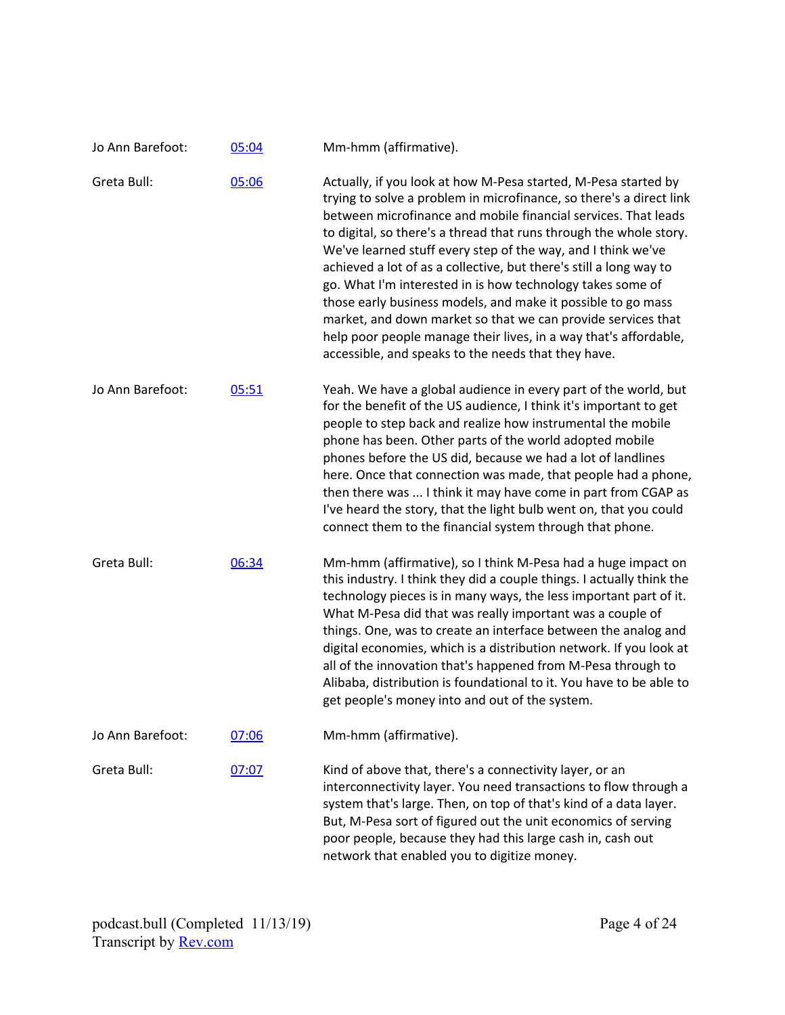| Jo Ann Barefoot: | 05:04 | Mm-hmm (affirmative).                                                                                                                                                                                                                                                                                                                                                                                                                                                                                                                                                                                                                                                                                                                        |
|------------------|-------|----------------------------------------------------------------------------------------------------------------------------------------------------------------------------------------------------------------------------------------------------------------------------------------------------------------------------------------------------------------------------------------------------------------------------------------------------------------------------------------------------------------------------------------------------------------------------------------------------------------------------------------------------------------------------------------------------------------------------------------------|
| Greta Bull:      | 05:06 | Actually, if you look at how M-Pesa started, M-Pesa started by<br>trying to solve a problem in microfinance, so there's a direct link<br>between microfinance and mobile financial services. That leads<br>to digital, so there's a thread that runs through the whole story.<br>We've learned stuff every step of the way, and I think we've<br>achieved a lot of as a collective, but there's still a long way to<br>go. What I'm interested in is how technology takes some of<br>those early business models, and make it possible to go mass<br>market, and down market so that we can provide services that<br>help poor people manage their lives, in a way that's affordable,<br>accessible, and speaks to the needs that they have. |
| Jo Ann Barefoot: | 05:51 | Yeah. We have a global audience in every part of the world, but<br>for the benefit of the US audience, I think it's important to get<br>people to step back and realize how instrumental the mobile<br>phone has been. Other parts of the world adopted mobile<br>phones before the US did, because we had a lot of landlines<br>here. Once that connection was made, that people had a phone,<br>then there was  I think it may have come in part from CGAP as<br>I've heard the story, that the light bulb went on, that you could<br>connect them to the financial system through that phone.                                                                                                                                             |
| Greta Bull:      | 06:34 | Mm-hmm (affirmative), so I think M-Pesa had a huge impact on<br>this industry. I think they did a couple things. I actually think the<br>technology pieces is in many ways, the less important part of it.<br>What M-Pesa did that was really important was a couple of<br>things. One, was to create an interface between the analog and<br>digital economies, which is a distribution network. If you look at<br>all of the innovation that's happened from M-Pesa through to<br>Alibaba, distribution is foundational to it. You have to be able to<br>get people's money into and out of the system.                                                                                                                                     |
| Jo Ann Barefoot: | 07:06 | Mm-hmm (affirmative).                                                                                                                                                                                                                                                                                                                                                                                                                                                                                                                                                                                                                                                                                                                        |
| Greta Bull:      | 07:07 | Kind of above that, there's a connectivity layer, or an<br>interconnectivity layer. You need transactions to flow through a<br>system that's large. Then, on top of that's kind of a data layer.<br>But, M-Pesa sort of figured out the unit economics of serving<br>poor people, because they had this large cash in, cash out<br>network that enabled you to digitize money.                                                                                                                                                                                                                                                                                                                                                               |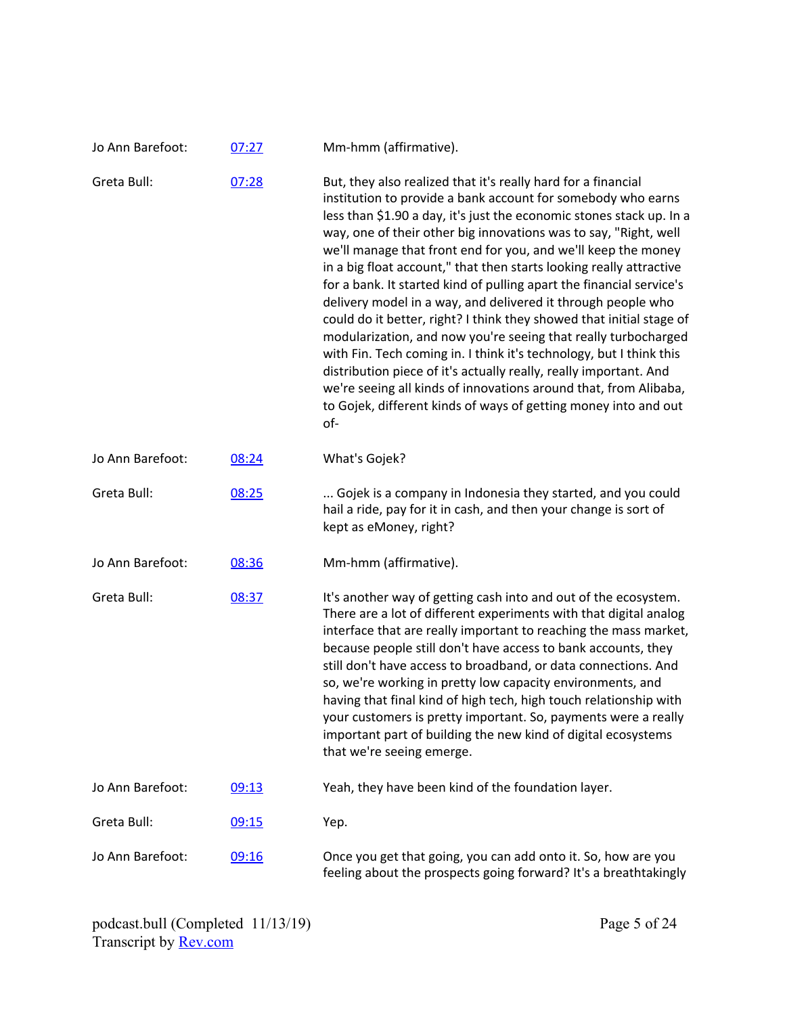| Jo Ann Barefoot: | 07:27 | Mm-hmm (affirmative).                                                                                                                                                                                                                                                                                                                                                                                                                                                                                                                                                                                                                                                                                                                                                                                                                                                                                                                                                                         |
|------------------|-------|-----------------------------------------------------------------------------------------------------------------------------------------------------------------------------------------------------------------------------------------------------------------------------------------------------------------------------------------------------------------------------------------------------------------------------------------------------------------------------------------------------------------------------------------------------------------------------------------------------------------------------------------------------------------------------------------------------------------------------------------------------------------------------------------------------------------------------------------------------------------------------------------------------------------------------------------------------------------------------------------------|
| Greta Bull:      | 07:28 | But, they also realized that it's really hard for a financial<br>institution to provide a bank account for somebody who earns<br>less than \$1.90 a day, it's just the economic stones stack up. In a<br>way, one of their other big innovations was to say, "Right, well<br>we'll manage that front end for you, and we'll keep the money<br>in a big float account," that then starts looking really attractive<br>for a bank. It started kind of pulling apart the financial service's<br>delivery model in a way, and delivered it through people who<br>could do it better, right? I think they showed that initial stage of<br>modularization, and now you're seeing that really turbocharged<br>with Fin. Tech coming in. I think it's technology, but I think this<br>distribution piece of it's actually really, really important. And<br>we're seeing all kinds of innovations around that, from Alibaba,<br>to Gojek, different kinds of ways of getting money into and out<br>of- |
| Jo Ann Barefoot: | 08:24 | What's Gojek?                                                                                                                                                                                                                                                                                                                                                                                                                                                                                                                                                                                                                                                                                                                                                                                                                                                                                                                                                                                 |
| Greta Bull:      | 08:25 | Gojek is a company in Indonesia they started, and you could<br>hail a ride, pay for it in cash, and then your change is sort of<br>kept as eMoney, right?                                                                                                                                                                                                                                                                                                                                                                                                                                                                                                                                                                                                                                                                                                                                                                                                                                     |
| Jo Ann Barefoot: | 08:36 | Mm-hmm (affirmative).                                                                                                                                                                                                                                                                                                                                                                                                                                                                                                                                                                                                                                                                                                                                                                                                                                                                                                                                                                         |
| Greta Bull:      | 08:37 | It's another way of getting cash into and out of the ecosystem.<br>There are a lot of different experiments with that digital analog<br>interface that are really important to reaching the mass market,<br>because people still don't have access to bank accounts, they<br>still don't have access to broadband, or data connections. And<br>so, we're working in pretty low capacity environments, and<br>having that final kind of high tech, high touch relationship with<br>your customers is pretty important. So, payments were a really<br>important part of building the new kind of digital ecosystems<br>that we're seeing emerge.                                                                                                                                                                                                                                                                                                                                                |
| Jo Ann Barefoot: | 09:13 | Yeah, they have been kind of the foundation layer.                                                                                                                                                                                                                                                                                                                                                                                                                                                                                                                                                                                                                                                                                                                                                                                                                                                                                                                                            |
| Greta Bull:      | 09:15 | Yep.                                                                                                                                                                                                                                                                                                                                                                                                                                                                                                                                                                                                                                                                                                                                                                                                                                                                                                                                                                                          |
| Jo Ann Barefoot: | 09:16 | Once you get that going, you can add onto it. So, how are you<br>feeling about the prospects going forward? It's a breathtakingly                                                                                                                                                                                                                                                                                                                                                                                                                                                                                                                                                                                                                                                                                                                                                                                                                                                             |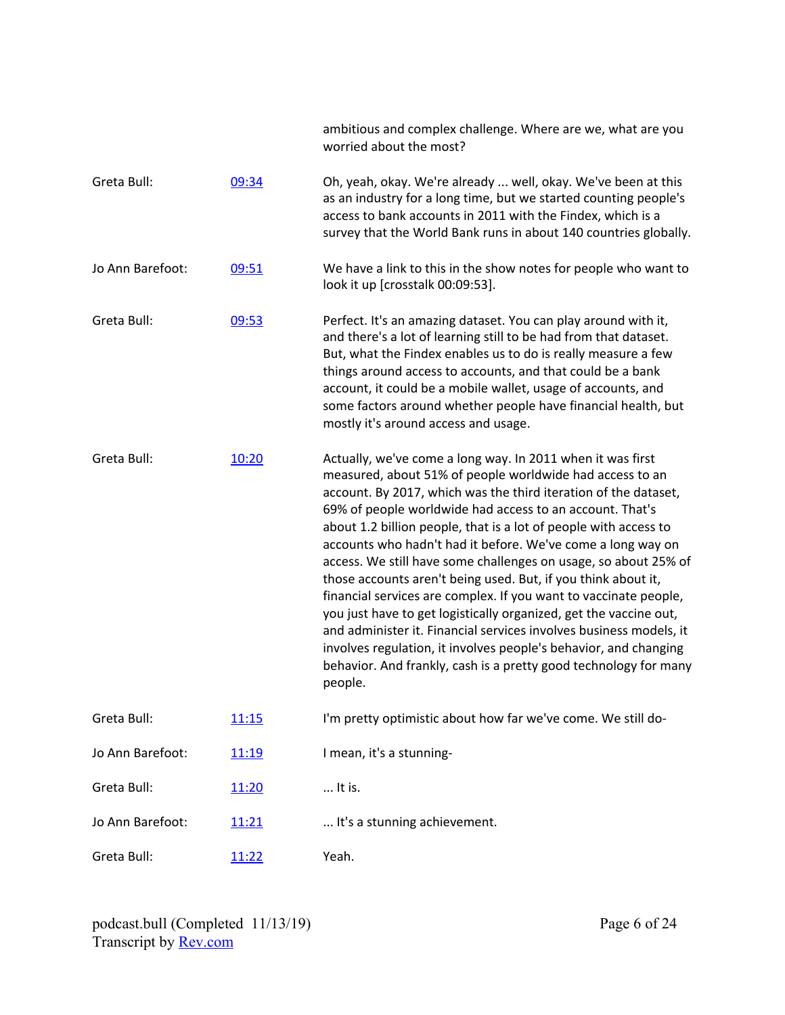|                  |              | ambitious and complex challenge. Where are we, what are you<br>worried about the most?                                                                                                                                                                                                                                                                                                                                                                                                                                                                                                                                                                                                                                                                                                                                                                                                         |
|------------------|--------------|------------------------------------------------------------------------------------------------------------------------------------------------------------------------------------------------------------------------------------------------------------------------------------------------------------------------------------------------------------------------------------------------------------------------------------------------------------------------------------------------------------------------------------------------------------------------------------------------------------------------------------------------------------------------------------------------------------------------------------------------------------------------------------------------------------------------------------------------------------------------------------------------|
| Greta Bull:      | 09:34        | Oh, yeah, okay. We're already  well, okay. We've been at this<br>as an industry for a long time, but we started counting people's<br>access to bank accounts in 2011 with the Findex, which is a<br>survey that the World Bank runs in about 140 countries globally.                                                                                                                                                                                                                                                                                                                                                                                                                                                                                                                                                                                                                           |
| Jo Ann Barefoot: | 09:51        | We have a link to this in the show notes for people who want to<br>look it up [crosstalk 00:09:53].                                                                                                                                                                                                                                                                                                                                                                                                                                                                                                                                                                                                                                                                                                                                                                                            |
| Greta Bull:      | 09:53        | Perfect. It's an amazing dataset. You can play around with it,<br>and there's a lot of learning still to be had from that dataset.<br>But, what the Findex enables us to do is really measure a few<br>things around access to accounts, and that could be a bank<br>account, it could be a mobile wallet, usage of accounts, and<br>some factors around whether people have financial health, but<br>mostly it's around access and usage.                                                                                                                                                                                                                                                                                                                                                                                                                                                     |
| Greta Bull:      | 10:20        | Actually, we've come a long way. In 2011 when it was first<br>measured, about 51% of people worldwide had access to an<br>account. By 2017, which was the third iteration of the dataset,<br>69% of people worldwide had access to an account. That's<br>about 1.2 billion people, that is a lot of people with access to<br>accounts who hadn't had it before. We've come a long way on<br>access. We still have some challenges on usage, so about 25% of<br>those accounts aren't being used. But, if you think about it,<br>financial services are complex. If you want to vaccinate people,<br>you just have to get logistically organized, get the vaccine out,<br>and administer it. Financial services involves business models, it<br>involves regulation, it involves people's behavior, and changing<br>behavior. And frankly, cash is a pretty good technology for many<br>people. |
| Greta Bull:      | <u>11:15</u> | I'm pretty optimistic about how far we've come. We still do-                                                                                                                                                                                                                                                                                                                                                                                                                                                                                                                                                                                                                                                                                                                                                                                                                                   |
| Jo Ann Barefoot: | 11:19        | I mean, it's a stunning-                                                                                                                                                                                                                                                                                                                                                                                                                                                                                                                                                                                                                                                                                                                                                                                                                                                                       |
| Greta Bull:      | 11:20        | It is.                                                                                                                                                                                                                                                                                                                                                                                                                                                                                                                                                                                                                                                                                                                                                                                                                                                                                         |
| Jo Ann Barefoot: | 11:21        | It's a stunning achievement.                                                                                                                                                                                                                                                                                                                                                                                                                                                                                                                                                                                                                                                                                                                                                                                                                                                                   |
| Greta Bull:      | 11:22        | Yeah.                                                                                                                                                                                                                                                                                                                                                                                                                                                                                                                                                                                                                                                                                                                                                                                                                                                                                          |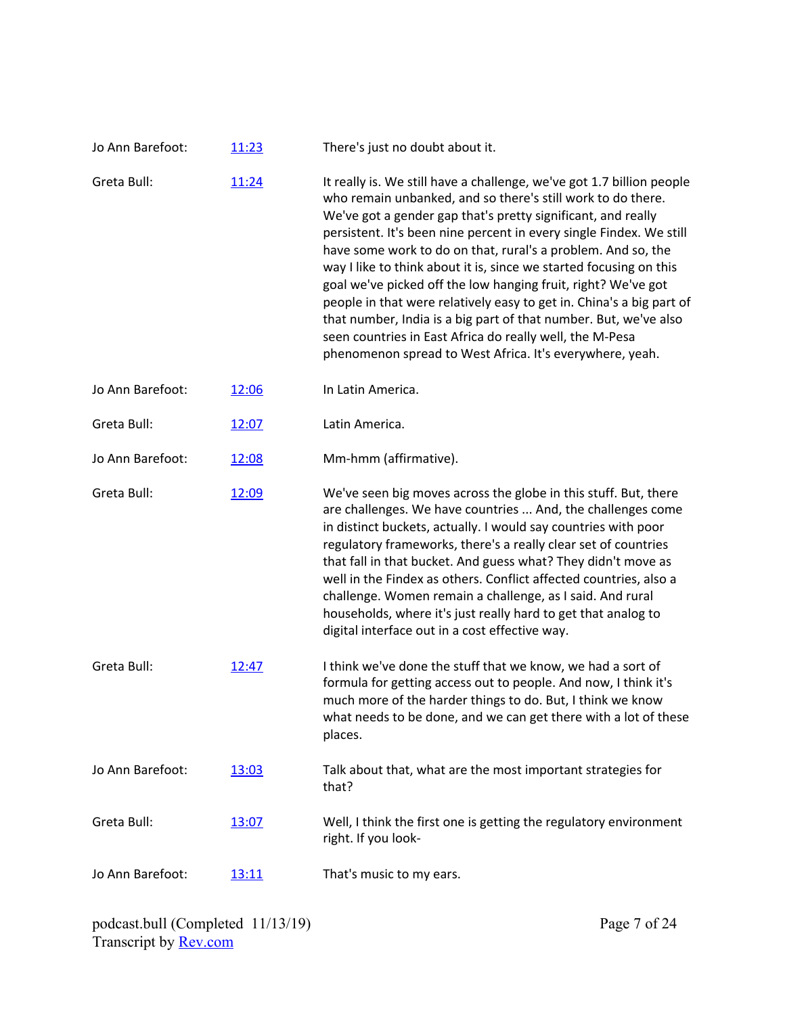| Jo Ann Barefoot: | 11:23 | There's just no doubt about it.                                                                                                                                                                                                                                                                                                                                                                                                                                                                                                                                                                                                                                                                                                                        |
|------------------|-------|--------------------------------------------------------------------------------------------------------------------------------------------------------------------------------------------------------------------------------------------------------------------------------------------------------------------------------------------------------------------------------------------------------------------------------------------------------------------------------------------------------------------------------------------------------------------------------------------------------------------------------------------------------------------------------------------------------------------------------------------------------|
| Greta Bull:      | 11:24 | It really is. We still have a challenge, we've got 1.7 billion people<br>who remain unbanked, and so there's still work to do there.<br>We've got a gender gap that's pretty significant, and really<br>persistent. It's been nine percent in every single Findex. We still<br>have some work to do on that, rural's a problem. And so, the<br>way I like to think about it is, since we started focusing on this<br>goal we've picked off the low hanging fruit, right? We've got<br>people in that were relatively easy to get in. China's a big part of<br>that number, India is a big part of that number. But, we've also<br>seen countries in East Africa do really well, the M-Pesa<br>phenomenon spread to West Africa. It's everywhere, yeah. |
| Jo Ann Barefoot: | 12:06 | In Latin America.                                                                                                                                                                                                                                                                                                                                                                                                                                                                                                                                                                                                                                                                                                                                      |
| Greta Bull:      | 12:07 | Latin America.                                                                                                                                                                                                                                                                                                                                                                                                                                                                                                                                                                                                                                                                                                                                         |
| Jo Ann Barefoot: | 12:08 | Mm-hmm (affirmative).                                                                                                                                                                                                                                                                                                                                                                                                                                                                                                                                                                                                                                                                                                                                  |
| Greta Bull:      | 12:09 | We've seen big moves across the globe in this stuff. But, there<br>are challenges. We have countries  And, the challenges come<br>in distinct buckets, actually. I would say countries with poor<br>regulatory frameworks, there's a really clear set of countries<br>that fall in that bucket. And guess what? They didn't move as<br>well in the Findex as others. Conflict affected countries, also a<br>challenge. Women remain a challenge, as I said. And rural<br>households, where it's just really hard to get that analog to<br>digital interface out in a cost effective way.                                                                                                                                                               |
| Greta Bull:      | 12:47 | I think we've done the stuff that we know, we had a sort of<br>formula for getting access out to people. And now, I think it's<br>much more of the harder things to do. But, I think we know<br>what needs to be done, and we can get there with a lot of these<br>places.                                                                                                                                                                                                                                                                                                                                                                                                                                                                             |
| Jo Ann Barefoot: | 13:03 | Talk about that, what are the most important strategies for<br>that?                                                                                                                                                                                                                                                                                                                                                                                                                                                                                                                                                                                                                                                                                   |
| Greta Bull:      | 13:07 | Well, I think the first one is getting the regulatory environment<br>right. If you look-                                                                                                                                                                                                                                                                                                                                                                                                                                                                                                                                                                                                                                                               |
| Jo Ann Barefoot: | 13:11 | That's music to my ears.                                                                                                                                                                                                                                                                                                                                                                                                                                                                                                                                                                                                                                                                                                                               |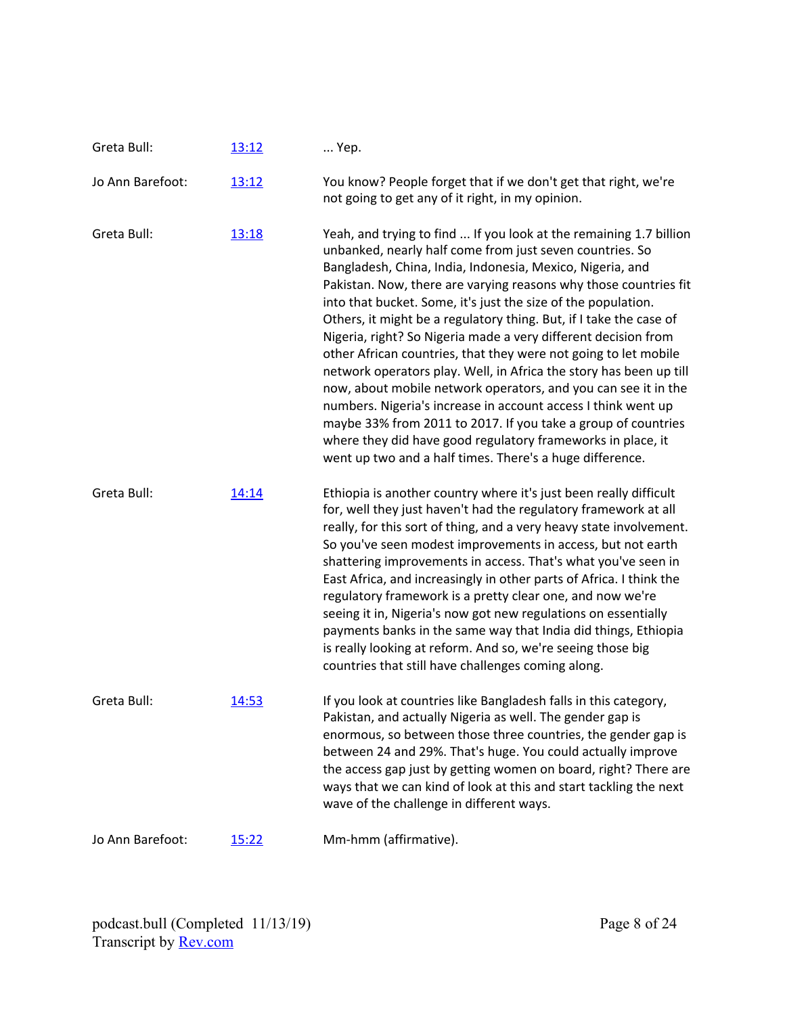| Greta Bull:      | 13:12 | Yep.                                                                                                                                                                                                                                                                                                                                                                                                                                                                                                                                                                                                                                                                                                                                                                                                                                                                                                                                             |
|------------------|-------|--------------------------------------------------------------------------------------------------------------------------------------------------------------------------------------------------------------------------------------------------------------------------------------------------------------------------------------------------------------------------------------------------------------------------------------------------------------------------------------------------------------------------------------------------------------------------------------------------------------------------------------------------------------------------------------------------------------------------------------------------------------------------------------------------------------------------------------------------------------------------------------------------------------------------------------------------|
| Jo Ann Barefoot: | 13:12 | You know? People forget that if we don't get that right, we're<br>not going to get any of it right, in my opinion.                                                                                                                                                                                                                                                                                                                                                                                                                                                                                                                                                                                                                                                                                                                                                                                                                               |
| Greta Bull:      | 13:18 | Yeah, and trying to find  If you look at the remaining 1.7 billion<br>unbanked, nearly half come from just seven countries. So<br>Bangladesh, China, India, Indonesia, Mexico, Nigeria, and<br>Pakistan. Now, there are varying reasons why those countries fit<br>into that bucket. Some, it's just the size of the population.<br>Others, it might be a regulatory thing. But, if I take the case of<br>Nigeria, right? So Nigeria made a very different decision from<br>other African countries, that they were not going to let mobile<br>network operators play. Well, in Africa the story has been up till<br>now, about mobile network operators, and you can see it in the<br>numbers. Nigeria's increase in account access I think went up<br>maybe 33% from 2011 to 2017. If you take a group of countries<br>where they did have good regulatory frameworks in place, it<br>went up two and a half times. There's a huge difference. |
| Greta Bull:      | 14:14 | Ethiopia is another country where it's just been really difficult<br>for, well they just haven't had the regulatory framework at all<br>really, for this sort of thing, and a very heavy state involvement.<br>So you've seen modest improvements in access, but not earth<br>shattering improvements in access. That's what you've seen in<br>East Africa, and increasingly in other parts of Africa. I think the<br>regulatory framework is a pretty clear one, and now we're<br>seeing it in, Nigeria's now got new regulations on essentially<br>payments banks in the same way that India did things, Ethiopia<br>is really looking at reform. And so, we're seeing those big<br>countries that still have challenges coming along.                                                                                                                                                                                                         |
| Greta Bull:      | 14:53 | If you look at countries like Bangladesh falls in this category,<br>Pakistan, and actually Nigeria as well. The gender gap is<br>enormous, so between those three countries, the gender gap is<br>between 24 and 29%. That's huge. You could actually improve<br>the access gap just by getting women on board, right? There are<br>ways that we can kind of look at this and start tackling the next<br>wave of the challenge in different ways.                                                                                                                                                                                                                                                                                                                                                                                                                                                                                                |
| Jo Ann Barefoot: | 15:22 | Mm-hmm (affirmative).                                                                                                                                                                                                                                                                                                                                                                                                                                                                                                                                                                                                                                                                                                                                                                                                                                                                                                                            |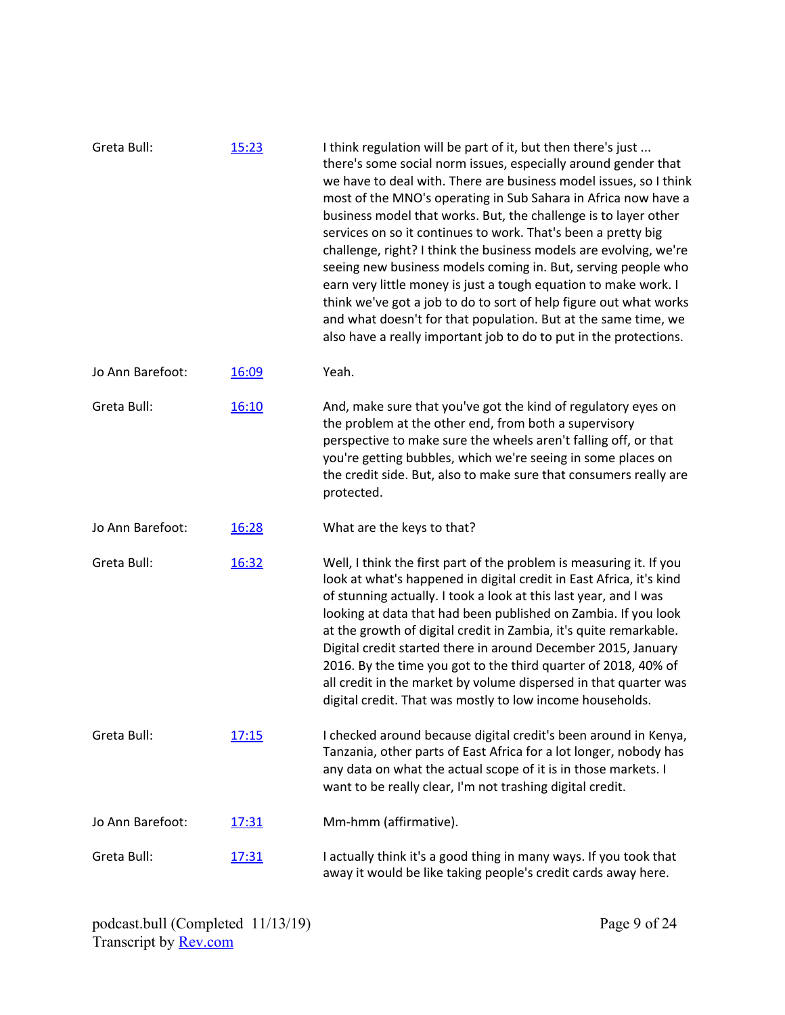| Greta Bull:      | 15:23 | I think regulation will be part of it, but then there's just<br>there's some social norm issues, especially around gender that<br>we have to deal with. There are business model issues, so I think<br>most of the MNO's operating in Sub Sahara in Africa now have a<br>business model that works. But, the challenge is to layer other<br>services on so it continues to work. That's been a pretty big<br>challenge, right? I think the business models are evolving, we're<br>seeing new business models coming in. But, serving people who<br>earn very little money is just a tough equation to make work. I<br>think we've got a job to do to sort of help figure out what works<br>and what doesn't for that population. But at the same time, we<br>also have a really important job to do to put in the protections. |
|------------------|-------|--------------------------------------------------------------------------------------------------------------------------------------------------------------------------------------------------------------------------------------------------------------------------------------------------------------------------------------------------------------------------------------------------------------------------------------------------------------------------------------------------------------------------------------------------------------------------------------------------------------------------------------------------------------------------------------------------------------------------------------------------------------------------------------------------------------------------------|
| Jo Ann Barefoot: | 16:09 | Yeah.                                                                                                                                                                                                                                                                                                                                                                                                                                                                                                                                                                                                                                                                                                                                                                                                                          |
| Greta Bull:      | 16:10 | And, make sure that you've got the kind of regulatory eyes on<br>the problem at the other end, from both a supervisory<br>perspective to make sure the wheels aren't falling off, or that<br>you're getting bubbles, which we're seeing in some places on<br>the credit side. But, also to make sure that consumers really are<br>protected.                                                                                                                                                                                                                                                                                                                                                                                                                                                                                   |
| Jo Ann Barefoot: | 16:28 | What are the keys to that?                                                                                                                                                                                                                                                                                                                                                                                                                                                                                                                                                                                                                                                                                                                                                                                                     |
| Greta Bull:      | 16:32 | Well, I think the first part of the problem is measuring it. If you<br>look at what's happened in digital credit in East Africa, it's kind<br>of stunning actually. I took a look at this last year, and I was<br>looking at data that had been published on Zambia. If you look<br>at the growth of digital credit in Zambia, it's quite remarkable.<br>Digital credit started there in around December 2015, January<br>2016. By the time you got to the third quarter of 2018, 40% of<br>all credit in the market by volume dispersed in that quarter was<br>digital credit. That was mostly to low income households.                                                                                                                                                                                                      |
| Greta Bull:      | 17:15 | I checked around because digital credit's been around in Kenya,<br>Tanzania, other parts of East Africa for a lot longer, nobody has<br>any data on what the actual scope of it is in those markets. I<br>want to be really clear, I'm not trashing digital credit.                                                                                                                                                                                                                                                                                                                                                                                                                                                                                                                                                            |
| Jo Ann Barefoot: | 17:31 | Mm-hmm (affirmative).                                                                                                                                                                                                                                                                                                                                                                                                                                                                                                                                                                                                                                                                                                                                                                                                          |
| Greta Bull:      | 17:31 | I actually think it's a good thing in many ways. If you took that<br>away it would be like taking people's credit cards away here.                                                                                                                                                                                                                                                                                                                                                                                                                                                                                                                                                                                                                                                                                             |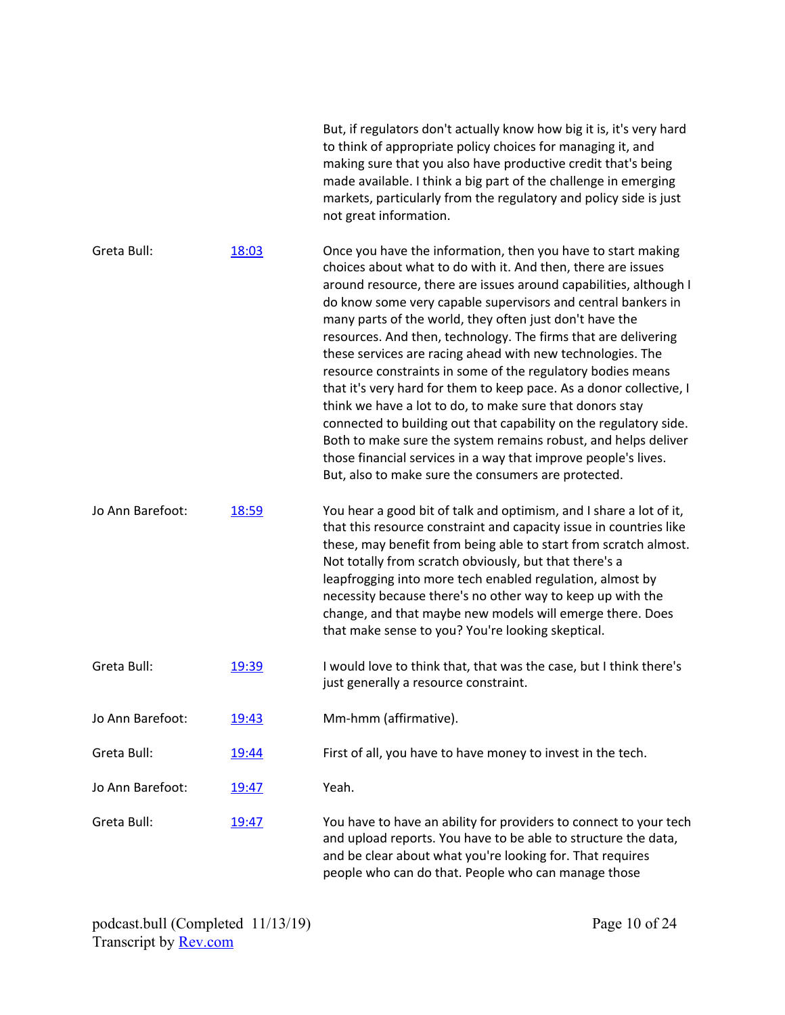|                  |              | But, if regulators don't actually know how big it is, it's very hard<br>to think of appropriate policy choices for managing it, and<br>making sure that you also have productive credit that's being<br>made available. I think a big part of the challenge in emerging<br>markets, particularly from the regulatory and policy side is just<br>not great information.                                                                                                                                                                                                                                                                                                                                                                                                                                                                                                                                                         |
|------------------|--------------|--------------------------------------------------------------------------------------------------------------------------------------------------------------------------------------------------------------------------------------------------------------------------------------------------------------------------------------------------------------------------------------------------------------------------------------------------------------------------------------------------------------------------------------------------------------------------------------------------------------------------------------------------------------------------------------------------------------------------------------------------------------------------------------------------------------------------------------------------------------------------------------------------------------------------------|
| Greta Bull:      | 18:03        | Once you have the information, then you have to start making<br>choices about what to do with it. And then, there are issues<br>around resource, there are issues around capabilities, although I<br>do know some very capable supervisors and central bankers in<br>many parts of the world, they often just don't have the<br>resources. And then, technology. The firms that are delivering<br>these services are racing ahead with new technologies. The<br>resource constraints in some of the regulatory bodies means<br>that it's very hard for them to keep pace. As a donor collective, I<br>think we have a lot to do, to make sure that donors stay<br>connected to building out that capability on the regulatory side.<br>Both to make sure the system remains robust, and helps deliver<br>those financial services in a way that improve people's lives.<br>But, also to make sure the consumers are protected. |
| Jo Ann Barefoot: | 18:59        | You hear a good bit of talk and optimism, and I share a lot of it,<br>that this resource constraint and capacity issue in countries like<br>these, may benefit from being able to start from scratch almost.<br>Not totally from scratch obviously, but that there's a<br>leapfrogging into more tech enabled regulation, almost by<br>necessity because there's no other way to keep up with the<br>change, and that maybe new models will emerge there. Does<br>that make sense to you? You're looking skeptical.                                                                                                                                                                                                                                                                                                                                                                                                            |
| Greta Bull:      | 19:39        | I would love to think that, that was the case, but I think there's<br>just generally a resource constraint.                                                                                                                                                                                                                                                                                                                                                                                                                                                                                                                                                                                                                                                                                                                                                                                                                    |
| Jo Ann Barefoot: | 19:43        | Mm-hmm (affirmative).                                                                                                                                                                                                                                                                                                                                                                                                                                                                                                                                                                                                                                                                                                                                                                                                                                                                                                          |
| Greta Bull:      | <u>19:44</u> | First of all, you have to have money to invest in the tech.                                                                                                                                                                                                                                                                                                                                                                                                                                                                                                                                                                                                                                                                                                                                                                                                                                                                    |
| Jo Ann Barefoot: | 19:47        | Yeah.                                                                                                                                                                                                                                                                                                                                                                                                                                                                                                                                                                                                                                                                                                                                                                                                                                                                                                                          |
| Greta Bull:      | 19:47        | You have to have an ability for providers to connect to your tech<br>and upload reports. You have to be able to structure the data,<br>and be clear about what you're looking for. That requires<br>people who can do that. People who can manage those                                                                                                                                                                                                                                                                                                                                                                                                                                                                                                                                                                                                                                                                        |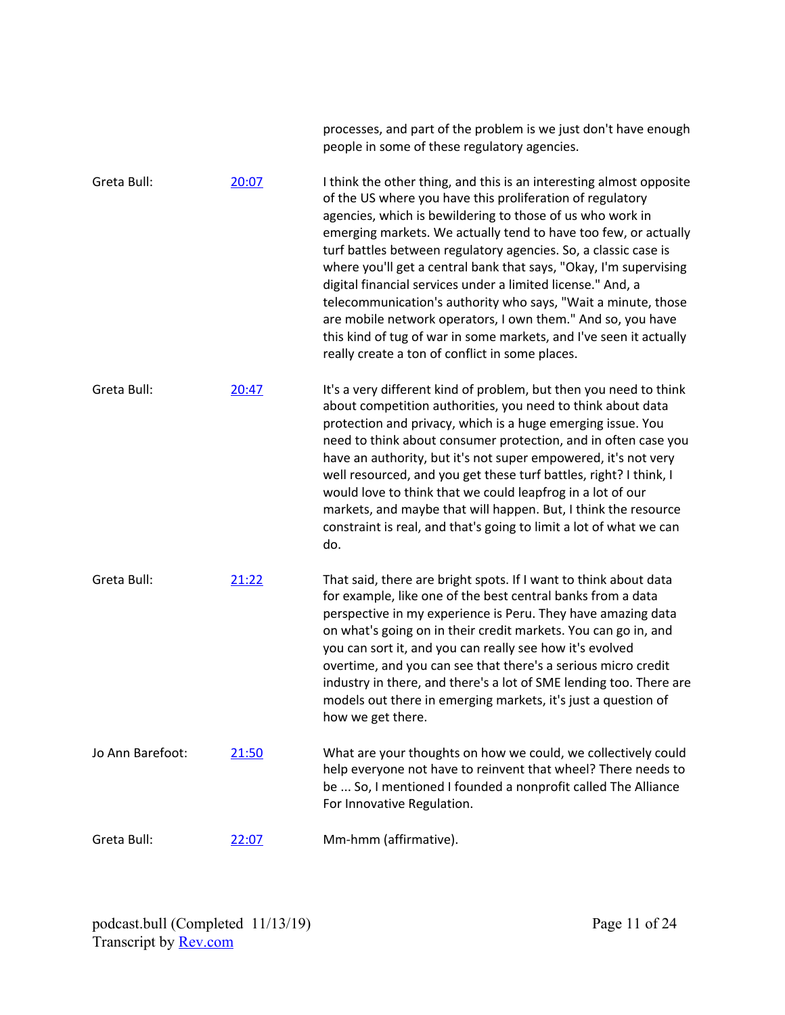|                  |       | processes, and part of the problem is we just don't have enough<br>people in some of these regulatory agencies.                                                                                                                                                                                                                                                                                                                                                                                                                                                                                                                                                                                                                  |
|------------------|-------|----------------------------------------------------------------------------------------------------------------------------------------------------------------------------------------------------------------------------------------------------------------------------------------------------------------------------------------------------------------------------------------------------------------------------------------------------------------------------------------------------------------------------------------------------------------------------------------------------------------------------------------------------------------------------------------------------------------------------------|
| Greta Bull:      | 20:07 | I think the other thing, and this is an interesting almost opposite<br>of the US where you have this proliferation of regulatory<br>agencies, which is bewildering to those of us who work in<br>emerging markets. We actually tend to have too few, or actually<br>turf battles between regulatory agencies. So, a classic case is<br>where you'll get a central bank that says, "Okay, I'm supervising<br>digital financial services under a limited license." And, a<br>telecommunication's authority who says, "Wait a minute, those<br>are mobile network operators, I own them." And so, you have<br>this kind of tug of war in some markets, and I've seen it actually<br>really create a ton of conflict in some places. |
| Greta Bull:      | 20:47 | It's a very different kind of problem, but then you need to think<br>about competition authorities, you need to think about data<br>protection and privacy, which is a huge emerging issue. You<br>need to think about consumer protection, and in often case you<br>have an authority, but it's not super empowered, it's not very<br>well resourced, and you get these turf battles, right? I think, I<br>would love to think that we could leapfrog in a lot of our<br>markets, and maybe that will happen. But, I think the resource<br>constraint is real, and that's going to limit a lot of what we can<br>do.                                                                                                            |
| Greta Bull:      | 21:22 | That said, there are bright spots. If I want to think about data<br>for example, like one of the best central banks from a data<br>perspective in my experience is Peru. They have amazing data<br>on what's going on in their credit markets. You can go in, and<br>you can sort it, and you can really see how it's evolved<br>overtime, and you can see that there's a serious micro credit<br>industry in there, and there's a lot of SME lending too. There are<br>models out there in emerging markets, it's just a question of<br>how we get there.                                                                                                                                                                       |
| Jo Ann Barefoot: | 21:50 | What are your thoughts on how we could, we collectively could<br>help everyone not have to reinvent that wheel? There needs to<br>be  So, I mentioned I founded a nonprofit called The Alliance<br>For Innovative Regulation.                                                                                                                                                                                                                                                                                                                                                                                                                                                                                                    |
| Greta Bull:      | 22:07 | Mm-hmm (affirmative).                                                                                                                                                                                                                                                                                                                                                                                                                                                                                                                                                                                                                                                                                                            |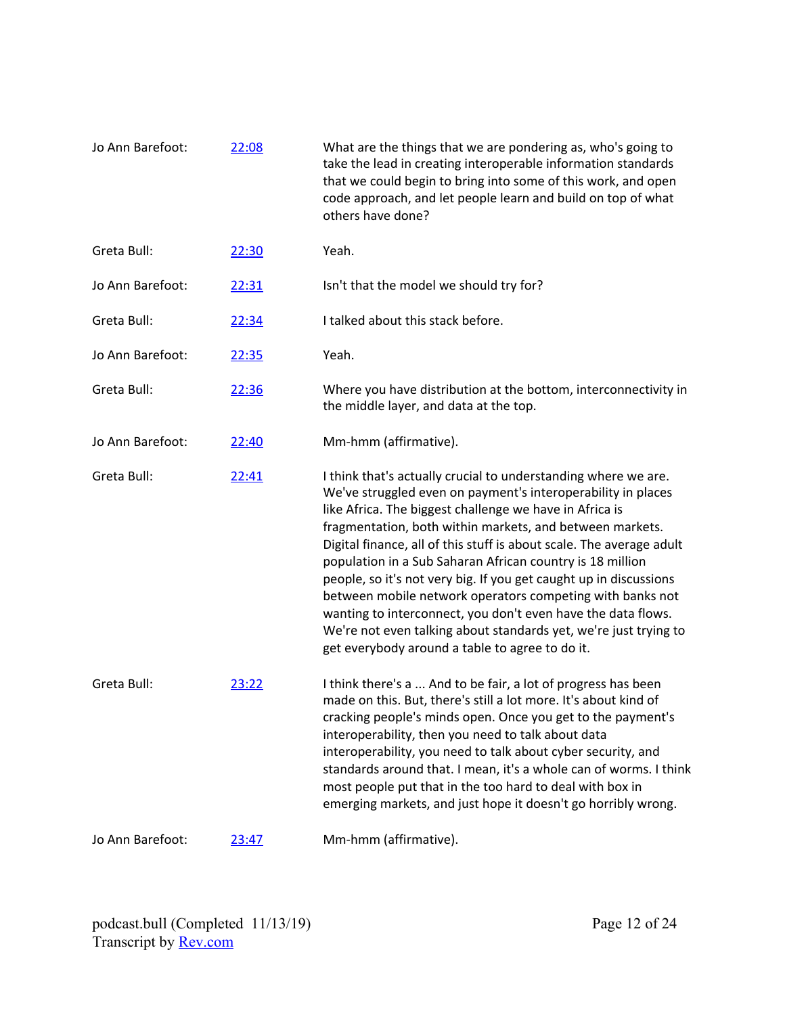| Jo Ann Barefoot: | 22:08 | What are the things that we are pondering as, who's going to<br>take the lead in creating interoperable information standards<br>that we could begin to bring into some of this work, and open<br>code approach, and let people learn and build on top of what<br>others have done?                                                                                                                                                                                                                                                                                                                                                                                                                                 |
|------------------|-------|---------------------------------------------------------------------------------------------------------------------------------------------------------------------------------------------------------------------------------------------------------------------------------------------------------------------------------------------------------------------------------------------------------------------------------------------------------------------------------------------------------------------------------------------------------------------------------------------------------------------------------------------------------------------------------------------------------------------|
| Greta Bull:      | 22:30 | Yeah.                                                                                                                                                                                                                                                                                                                                                                                                                                                                                                                                                                                                                                                                                                               |
| Jo Ann Barefoot: | 22:31 | Isn't that the model we should try for?                                                                                                                                                                                                                                                                                                                                                                                                                                                                                                                                                                                                                                                                             |
| Greta Bull:      | 22:34 | I talked about this stack before.                                                                                                                                                                                                                                                                                                                                                                                                                                                                                                                                                                                                                                                                                   |
| Jo Ann Barefoot: | 22:35 | Yeah.                                                                                                                                                                                                                                                                                                                                                                                                                                                                                                                                                                                                                                                                                                               |
| Greta Bull:      | 22:36 | Where you have distribution at the bottom, interconnectivity in<br>the middle layer, and data at the top.                                                                                                                                                                                                                                                                                                                                                                                                                                                                                                                                                                                                           |
| Jo Ann Barefoot: | 22:40 | Mm-hmm (affirmative).                                                                                                                                                                                                                                                                                                                                                                                                                                                                                                                                                                                                                                                                                               |
| Greta Bull:      | 22:41 | I think that's actually crucial to understanding where we are.<br>We've struggled even on payment's interoperability in places<br>like Africa. The biggest challenge we have in Africa is<br>fragmentation, both within markets, and between markets.<br>Digital finance, all of this stuff is about scale. The average adult<br>population in a Sub Saharan African country is 18 million<br>people, so it's not very big. If you get caught up in discussions<br>between mobile network operators competing with banks not<br>wanting to interconnect, you don't even have the data flows.<br>We're not even talking about standards yet, we're just trying to<br>get everybody around a table to agree to do it. |
| Greta Bull:      | 23:22 | I think there's a  And to be fair, a lot of progress has been<br>made on this. But, there's still a lot more. It's about kind of<br>cracking people's minds open. Once you get to the payment's<br>interoperability, then you need to talk about data<br>interoperability, you need to talk about cyber security, and<br>standards around that. I mean, it's a whole can of worms. I think<br>most people put that in the too hard to deal with box in<br>emerging markets, and just hope it doesn't go horribly wrong.                                                                                                                                                                                             |
| Jo Ann Barefoot: | 23:47 | Mm-hmm (affirmative).                                                                                                                                                                                                                                                                                                                                                                                                                                                                                                                                                                                                                                                                                               |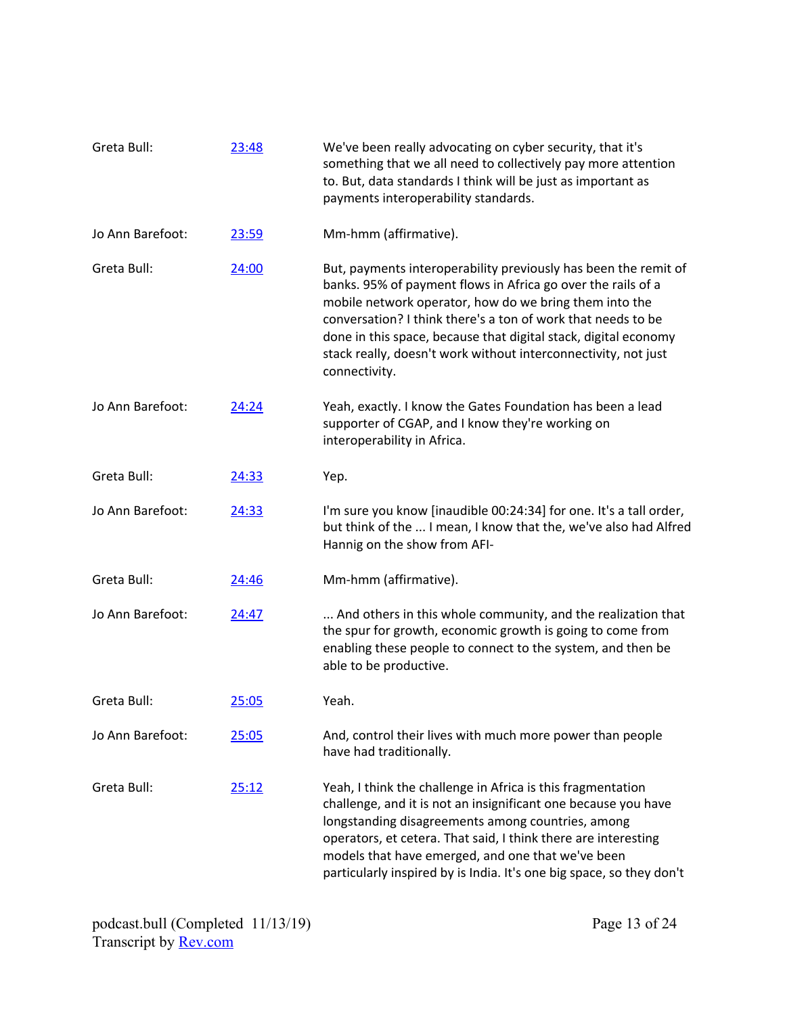| Greta Bull:      | 23:48        | We've been really advocating on cyber security, that it's<br>something that we all need to collectively pay more attention<br>to. But, data standards I think will be just as important as<br>payments interoperability standards.                                                                                                                                                                              |
|------------------|--------------|-----------------------------------------------------------------------------------------------------------------------------------------------------------------------------------------------------------------------------------------------------------------------------------------------------------------------------------------------------------------------------------------------------------------|
| Jo Ann Barefoot: | 23:59        | Mm-hmm (affirmative).                                                                                                                                                                                                                                                                                                                                                                                           |
| Greta Bull:      | 24:00        | But, payments interoperability previously has been the remit of<br>banks. 95% of payment flows in Africa go over the rails of a<br>mobile network operator, how do we bring them into the<br>conversation? I think there's a ton of work that needs to be<br>done in this space, because that digital stack, digital economy<br>stack really, doesn't work without interconnectivity, not just<br>connectivity. |
| Jo Ann Barefoot: | 24:24        | Yeah, exactly. I know the Gates Foundation has been a lead<br>supporter of CGAP, and I know they're working on<br>interoperability in Africa.                                                                                                                                                                                                                                                                   |
| Greta Bull:      | 24:33        | Yep.                                                                                                                                                                                                                                                                                                                                                                                                            |
| Jo Ann Barefoot: | 24:33        | I'm sure you know [inaudible 00:24:34] for one. It's a tall order,<br>but think of the  I mean, I know that the, we've also had Alfred<br>Hannig on the show from AFI-                                                                                                                                                                                                                                          |
| Greta Bull:      | 24:46        | Mm-hmm (affirmative).                                                                                                                                                                                                                                                                                                                                                                                           |
| Jo Ann Barefoot: | 24:47        | And others in this whole community, and the realization that<br>the spur for growth, economic growth is going to come from<br>enabling these people to connect to the system, and then be<br>able to be productive.                                                                                                                                                                                             |
| Greta Bull:      | 25:05        | Yeah.                                                                                                                                                                                                                                                                                                                                                                                                           |
| Jo Ann Barefoot: | <u>25:05</u> | And, control their lives with much more power than people<br>have had traditionally.                                                                                                                                                                                                                                                                                                                            |
| Greta Bull:      | 25:12        | Yeah, I think the challenge in Africa is this fragmentation<br>challenge, and it is not an insignificant one because you have<br>longstanding disagreements among countries, among<br>operators, et cetera. That said, I think there are interesting<br>models that have emerged, and one that we've been<br>particularly inspired by is India. It's one big space, so they don't                               |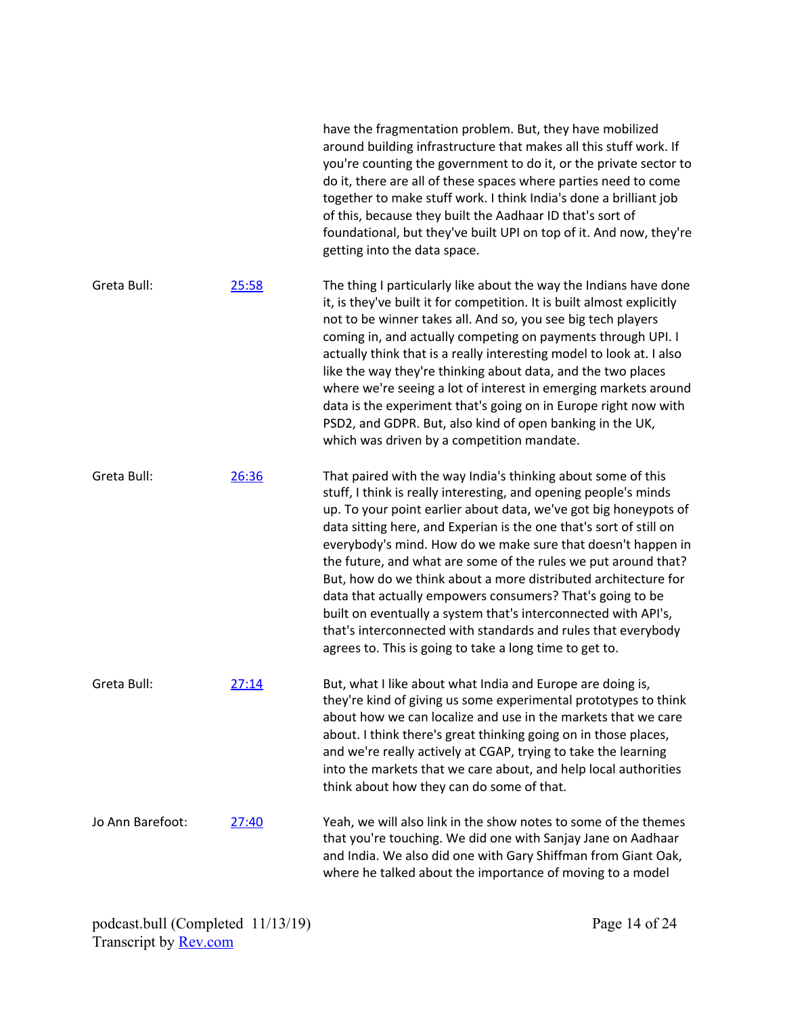|                  |       | around building infrastructure that makes all this stuff work. If<br>you're counting the government to do it, or the private sector to<br>do it, there are all of these spaces where parties need to come<br>together to make stuff work. I think India's done a brilliant job<br>of this, because they built the Aadhaar ID that's sort of<br>foundational, but they've built UPI on top of it. And now, they're<br>getting into the data space.                                                                                                                                                                                                                                                                                         |
|------------------|-------|-------------------------------------------------------------------------------------------------------------------------------------------------------------------------------------------------------------------------------------------------------------------------------------------------------------------------------------------------------------------------------------------------------------------------------------------------------------------------------------------------------------------------------------------------------------------------------------------------------------------------------------------------------------------------------------------------------------------------------------------|
| Greta Bull:      | 25:58 | The thing I particularly like about the way the Indians have done<br>it, is they've built it for competition. It is built almost explicitly<br>not to be winner takes all. And so, you see big tech players<br>coming in, and actually competing on payments through UPI. I<br>actually think that is a really interesting model to look at. I also<br>like the way they're thinking about data, and the two places<br>where we're seeing a lot of interest in emerging markets around<br>data is the experiment that's going on in Europe right now with<br>PSD2, and GDPR. But, also kind of open banking in the UK,<br>which was driven by a competition mandate.                                                                      |
| Greta Bull:      | 26:36 | That paired with the way India's thinking about some of this<br>stuff, I think is really interesting, and opening people's minds<br>up. To your point earlier about data, we've got big honeypots of<br>data sitting here, and Experian is the one that's sort of still on<br>everybody's mind. How do we make sure that doesn't happen in<br>the future, and what are some of the rules we put around that?<br>But, how do we think about a more distributed architecture for<br>data that actually empowers consumers? That's going to be<br>built on eventually a system that's interconnected with API's,<br>that's interconnected with standards and rules that everybody<br>agrees to. This is going to take a long time to get to. |
| Greta Bull:      | 27:14 | But, what I like about what India and Europe are doing is,<br>they're kind of giving us some experimental prototypes to think<br>about how we can localize and use in the markets that we care<br>about. I think there's great thinking going on in those places,<br>and we're really actively at CGAP, trying to take the learning<br>into the markets that we care about, and help local authorities<br>think about how they can do some of that.                                                                                                                                                                                                                                                                                       |
| Jo Ann Barefoot: | 27:40 | Yeah, we will also link in the show notes to some of the themes<br>that you're touching. We did one with Sanjay Jane on Aadhaar<br>and India. We also did one with Gary Shiffman from Giant Oak,<br>where he talked about the importance of moving to a model                                                                                                                                                                                                                                                                                                                                                                                                                                                                             |

have the fragmentation problem. But, they have mobilized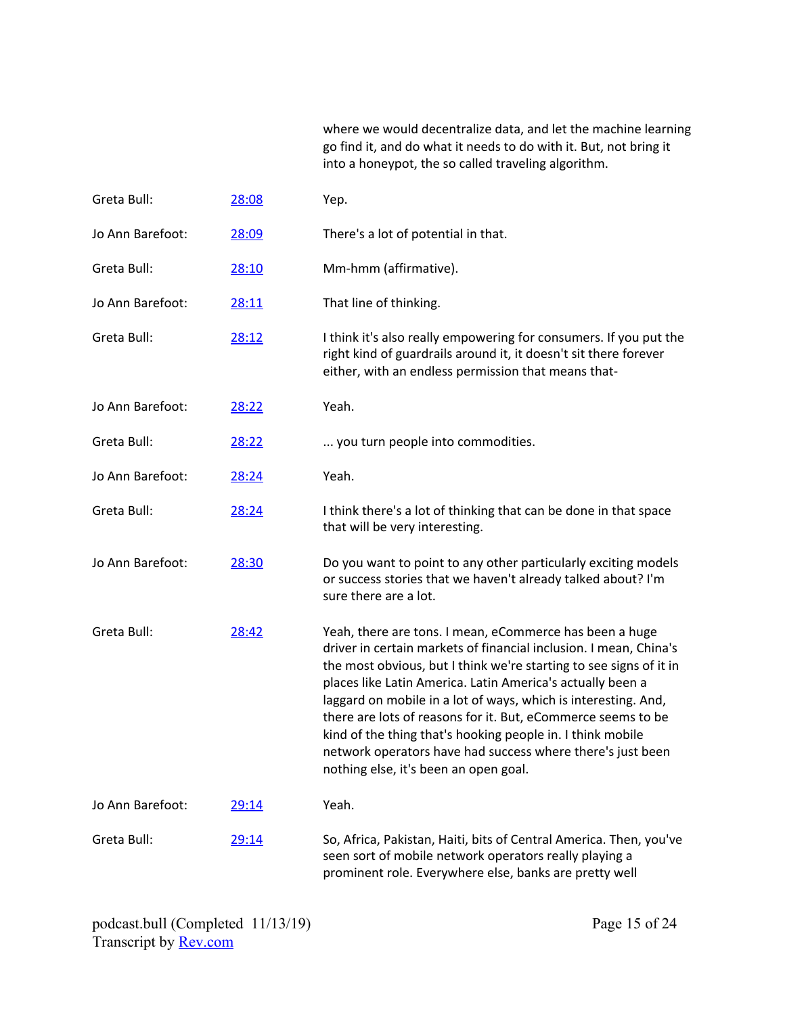where we would decentralize data, and let the machine learning go find it, and do what it needs to do with it. But, not bring it into a honeypot, the so called traveling algorithm.

| Greta Bull:      | 28:08 | Yep.                                                                                                                                                                                                                                                                                                                                                                                                                                                                                                                                                                    |
|------------------|-------|-------------------------------------------------------------------------------------------------------------------------------------------------------------------------------------------------------------------------------------------------------------------------------------------------------------------------------------------------------------------------------------------------------------------------------------------------------------------------------------------------------------------------------------------------------------------------|
| Jo Ann Barefoot: | 28:09 | There's a lot of potential in that.                                                                                                                                                                                                                                                                                                                                                                                                                                                                                                                                     |
| Greta Bull:      | 28:10 | Mm-hmm (affirmative).                                                                                                                                                                                                                                                                                                                                                                                                                                                                                                                                                   |
| Jo Ann Barefoot: | 28:11 | That line of thinking.                                                                                                                                                                                                                                                                                                                                                                                                                                                                                                                                                  |
| Greta Bull:      | 28:12 | I think it's also really empowering for consumers. If you put the<br>right kind of guardrails around it, it doesn't sit there forever<br>either, with an endless permission that means that-                                                                                                                                                                                                                                                                                                                                                                            |
| Jo Ann Barefoot: | 28:22 | Yeah.                                                                                                                                                                                                                                                                                                                                                                                                                                                                                                                                                                   |
| Greta Bull:      | 28:22 | you turn people into commodities.                                                                                                                                                                                                                                                                                                                                                                                                                                                                                                                                       |
| Jo Ann Barefoot: | 28:24 | Yeah.                                                                                                                                                                                                                                                                                                                                                                                                                                                                                                                                                                   |
| Greta Bull:      | 28:24 | I think there's a lot of thinking that can be done in that space<br>that will be very interesting.                                                                                                                                                                                                                                                                                                                                                                                                                                                                      |
| Jo Ann Barefoot: | 28:30 | Do you want to point to any other particularly exciting models<br>or success stories that we haven't already talked about? I'm<br>sure there are a lot.                                                                                                                                                                                                                                                                                                                                                                                                                 |
| Greta Bull:      | 28:42 | Yeah, there are tons. I mean, eCommerce has been a huge<br>driver in certain markets of financial inclusion. I mean, China's<br>the most obvious, but I think we're starting to see signs of it in<br>places like Latin America. Latin America's actually been a<br>laggard on mobile in a lot of ways, which is interesting. And,<br>there are lots of reasons for it. But, eCommerce seems to be<br>kind of the thing that's hooking people in. I think mobile<br>network operators have had success where there's just been<br>nothing else, it's been an open goal. |
| Jo Ann Barefoot: | 29:14 | Yeah.                                                                                                                                                                                                                                                                                                                                                                                                                                                                                                                                                                   |
| Greta Bull:      | 29:14 | So, Africa, Pakistan, Haiti, bits of Central America. Then, you've<br>seen sort of mobile network operators really playing a<br>prominent role. Everywhere else, banks are pretty well                                                                                                                                                                                                                                                                                                                                                                                  |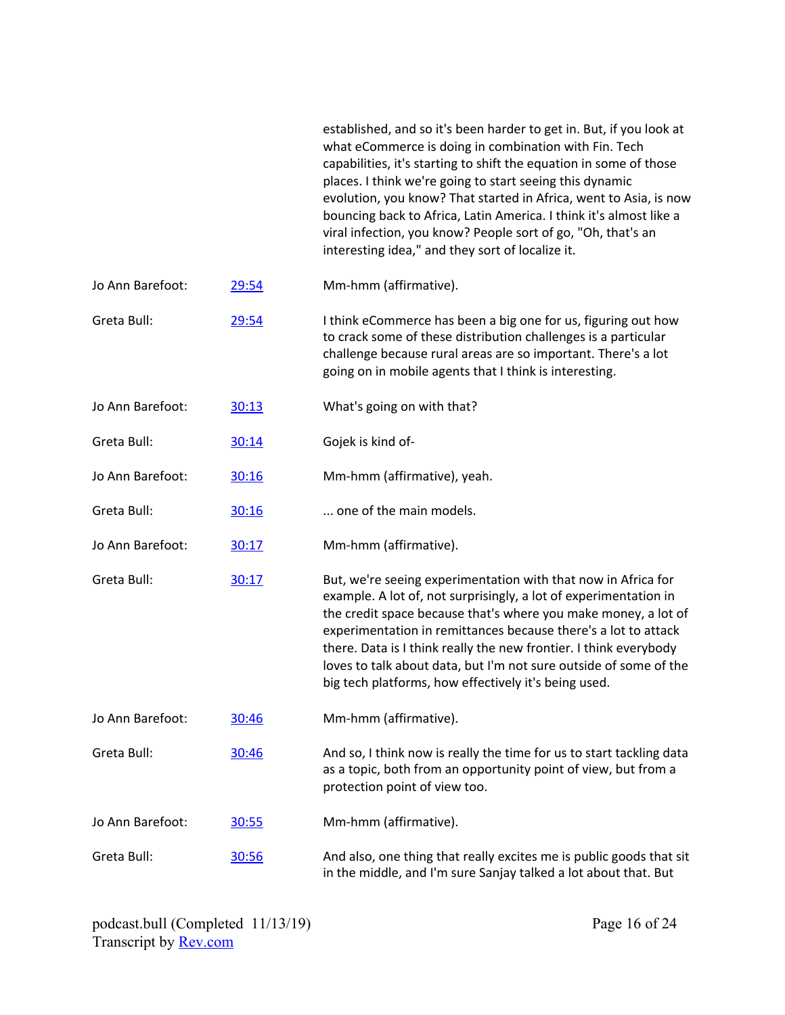|                  |       | established, and so it's been harder to get in. But, if you look at<br>what eCommerce is doing in combination with Fin. Tech<br>capabilities, it's starting to shift the equation in some of those<br>places. I think we're going to start seeing this dynamic<br>evolution, you know? That started in Africa, went to Asia, is now<br>bouncing back to Africa, Latin America. I think it's almost like a<br>viral infection, you know? People sort of go, "Oh, that's an<br>interesting idea," and they sort of localize it. |
|------------------|-------|-------------------------------------------------------------------------------------------------------------------------------------------------------------------------------------------------------------------------------------------------------------------------------------------------------------------------------------------------------------------------------------------------------------------------------------------------------------------------------------------------------------------------------|
| Jo Ann Barefoot: | 29:54 | Mm-hmm (affirmative).                                                                                                                                                                                                                                                                                                                                                                                                                                                                                                         |
| Greta Bull:      | 29:54 | I think eCommerce has been a big one for us, figuring out how<br>to crack some of these distribution challenges is a particular<br>challenge because rural areas are so important. There's a lot<br>going on in mobile agents that I think is interesting.                                                                                                                                                                                                                                                                    |
| Jo Ann Barefoot: | 30:13 | What's going on with that?                                                                                                                                                                                                                                                                                                                                                                                                                                                                                                    |
| Greta Bull:      | 30:14 | Gojek is kind of-                                                                                                                                                                                                                                                                                                                                                                                                                                                                                                             |
| Jo Ann Barefoot: | 30:16 | Mm-hmm (affirmative), yeah.                                                                                                                                                                                                                                                                                                                                                                                                                                                                                                   |
| Greta Bull:      | 30:16 | one of the main models.                                                                                                                                                                                                                                                                                                                                                                                                                                                                                                       |
| Jo Ann Barefoot: | 30:17 | Mm-hmm (affirmative).                                                                                                                                                                                                                                                                                                                                                                                                                                                                                                         |
| Greta Bull:      | 30:17 | But, we're seeing experimentation with that now in Africa for<br>example. A lot of, not surprisingly, a lot of experimentation in<br>the credit space because that's where you make money, a lot of<br>experimentation in remittances because there's a lot to attack<br>there. Data is I think really the new frontier. I think everybody<br>loves to talk about data, but I'm not sure outside of some of the<br>big tech platforms, how effectively it's being used.                                                       |
| Jo Ann Barefoot: | 30:46 | Mm-hmm (affirmative).                                                                                                                                                                                                                                                                                                                                                                                                                                                                                                         |
| Greta Bull:      | 30:46 | And so, I think now is really the time for us to start tackling data<br>as a topic, both from an opportunity point of view, but from a<br>protection point of view too.                                                                                                                                                                                                                                                                                                                                                       |
| Jo Ann Barefoot: | 30:55 | Mm-hmm (affirmative).                                                                                                                                                                                                                                                                                                                                                                                                                                                                                                         |
| Greta Bull:      | 30:56 | And also, one thing that really excites me is public goods that sit<br>in the middle, and I'm sure Sanjay talked a lot about that. But                                                                                                                                                                                                                                                                                                                                                                                        |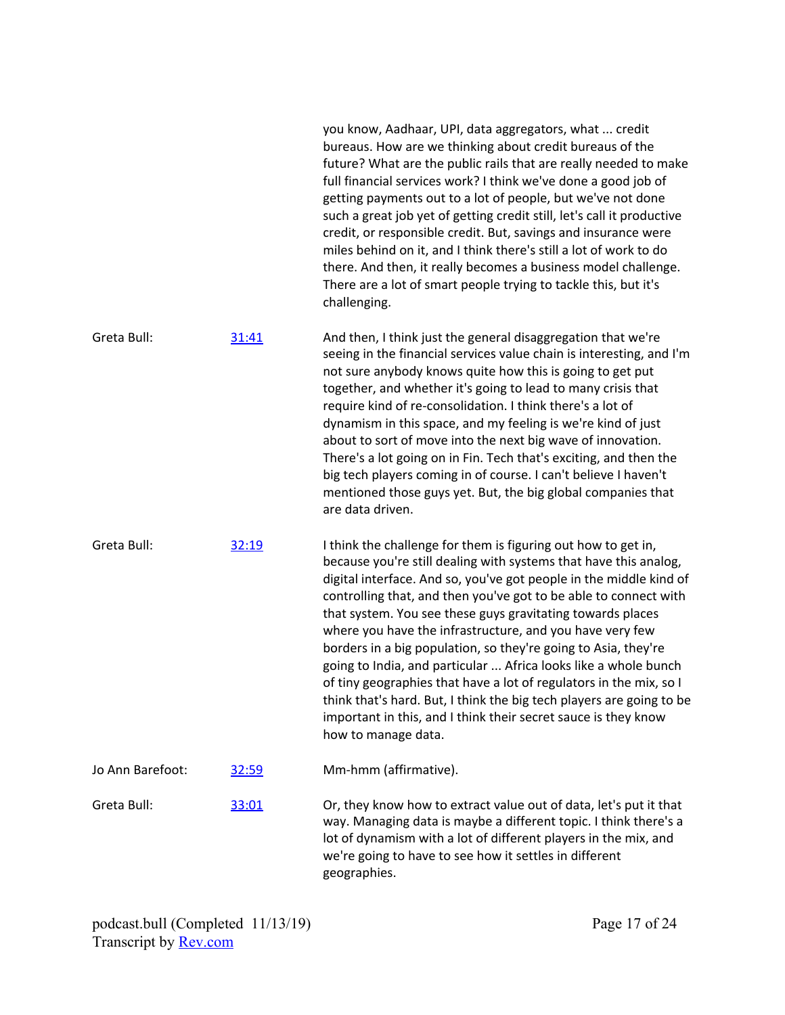|                  |              | you know, Aadhaar, UPI, data aggregators, what  credit<br>bureaus. How are we thinking about credit bureaus of the<br>future? What are the public rails that are really needed to make<br>full financial services work? I think we've done a good job of<br>getting payments out to a lot of people, but we've not done<br>such a great job yet of getting credit still, let's call it productive<br>credit, or responsible credit. But, savings and insurance were<br>miles behind on it, and I think there's still a lot of work to do<br>there. And then, it really becomes a business model challenge.<br>There are a lot of smart people trying to tackle this, but it's<br>challenging.                                                                                     |
|------------------|--------------|-----------------------------------------------------------------------------------------------------------------------------------------------------------------------------------------------------------------------------------------------------------------------------------------------------------------------------------------------------------------------------------------------------------------------------------------------------------------------------------------------------------------------------------------------------------------------------------------------------------------------------------------------------------------------------------------------------------------------------------------------------------------------------------|
| Greta Bull:      | 31:41        | And then, I think just the general disaggregation that we're<br>seeing in the financial services value chain is interesting, and I'm<br>not sure anybody knows quite how this is going to get put<br>together, and whether it's going to lead to many crisis that<br>require kind of re-consolidation. I think there's a lot of<br>dynamism in this space, and my feeling is we're kind of just<br>about to sort of move into the next big wave of innovation.<br>There's a lot going on in Fin. Tech that's exciting, and then the<br>big tech players coming in of course. I can't believe I haven't<br>mentioned those guys yet. But, the big global companies that<br>are data driven.                                                                                        |
| Greta Bull:      | 32:19        | I think the challenge for them is figuring out how to get in,<br>because you're still dealing with systems that have this analog,<br>digital interface. And so, you've got people in the middle kind of<br>controlling that, and then you've got to be able to connect with<br>that system. You see these guys gravitating towards places<br>where you have the infrastructure, and you have very few<br>borders in a big population, so they're going to Asia, they're<br>going to India, and particular  Africa looks like a whole bunch<br>of tiny geographies that have a lot of regulators in the mix, so I<br>think that's hard. But, I think the big tech players are going to be<br>important in this, and I think their secret sauce is they know<br>how to manage data. |
| Jo Ann Barefoot: | <u>32:59</u> | Mm-hmm (affirmative).                                                                                                                                                                                                                                                                                                                                                                                                                                                                                                                                                                                                                                                                                                                                                             |
| Greta Bull:      | 33:01        | Or, they know how to extract value out of data, let's put it that<br>way. Managing data is maybe a different topic. I think there's a<br>lot of dynamism with a lot of different players in the mix, and<br>we're going to have to see how it settles in different<br>geographies.                                                                                                                                                                                                                                                                                                                                                                                                                                                                                                |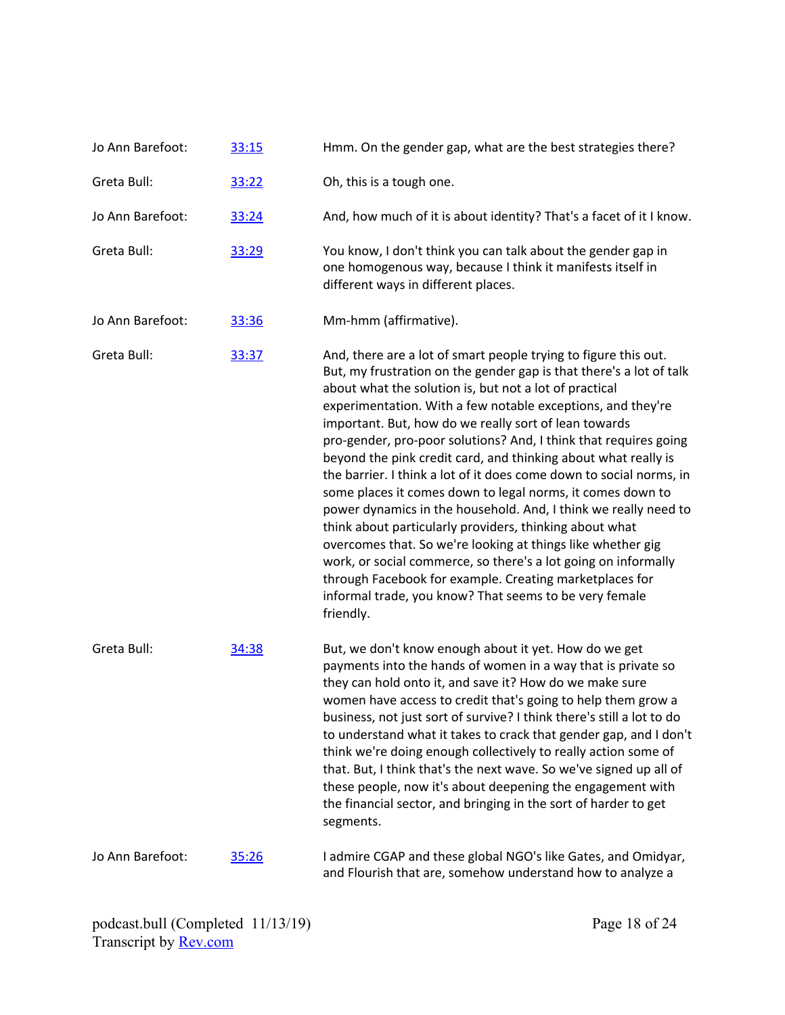| Jo Ann Barefoot: | 33:15 | Hmm. On the gender gap, what are the best strategies there?                                                                                                                                                                                                                                                                                                                                                                                                                                                                                                                                                                                                                                                                                                                                                                                                                                                                                                                                          |
|------------------|-------|------------------------------------------------------------------------------------------------------------------------------------------------------------------------------------------------------------------------------------------------------------------------------------------------------------------------------------------------------------------------------------------------------------------------------------------------------------------------------------------------------------------------------------------------------------------------------------------------------------------------------------------------------------------------------------------------------------------------------------------------------------------------------------------------------------------------------------------------------------------------------------------------------------------------------------------------------------------------------------------------------|
| Greta Bull:      | 33:22 | Oh, this is a tough one.                                                                                                                                                                                                                                                                                                                                                                                                                                                                                                                                                                                                                                                                                                                                                                                                                                                                                                                                                                             |
| Jo Ann Barefoot: | 33:24 | And, how much of it is about identity? That's a facet of it I know.                                                                                                                                                                                                                                                                                                                                                                                                                                                                                                                                                                                                                                                                                                                                                                                                                                                                                                                                  |
| Greta Bull:      | 33:29 | You know, I don't think you can talk about the gender gap in<br>one homogenous way, because I think it manifests itself in<br>different ways in different places.                                                                                                                                                                                                                                                                                                                                                                                                                                                                                                                                                                                                                                                                                                                                                                                                                                    |
| Jo Ann Barefoot: | 33:36 | Mm-hmm (affirmative).                                                                                                                                                                                                                                                                                                                                                                                                                                                                                                                                                                                                                                                                                                                                                                                                                                                                                                                                                                                |
| Greta Bull:      | 33:37 | And, there are a lot of smart people trying to figure this out.<br>But, my frustration on the gender gap is that there's a lot of talk<br>about what the solution is, but not a lot of practical<br>experimentation. With a few notable exceptions, and they're<br>important. But, how do we really sort of lean towards<br>pro-gender, pro-poor solutions? And, I think that requires going<br>beyond the pink credit card, and thinking about what really is<br>the barrier. I think a lot of it does come down to social norms, in<br>some places it comes down to legal norms, it comes down to<br>power dynamics in the household. And, I think we really need to<br>think about particularly providers, thinking about what<br>overcomes that. So we're looking at things like whether gig<br>work, or social commerce, so there's a lot going on informally<br>through Facebook for example. Creating marketplaces for<br>informal trade, you know? That seems to be very female<br>friendly. |
| Greta Bull:      | 34:38 | But, we don't know enough about it yet. How do we get<br>payments into the hands of women in a way that is private so<br>they can hold onto it, and save it? How do we make sure<br>women have access to credit that's going to help them grow a<br>business, not just sort of survive? I think there's still a lot to do<br>to understand what it takes to crack that gender gap, and I don't<br>think we're doing enough collectively to really action some of<br>that. But, I think that's the next wave. So we've signed up all of<br>these people, now it's about deepening the engagement with<br>the financial sector, and bringing in the sort of harder to get<br>segments.                                                                                                                                                                                                                                                                                                                 |
| Jo Ann Barefoot: | 35:26 | I admire CGAP and these global NGO's like Gates, and Omidyar,<br>and Flourish that are, somehow understand how to analyze a                                                                                                                                                                                                                                                                                                                                                                                                                                                                                                                                                                                                                                                                                                                                                                                                                                                                          |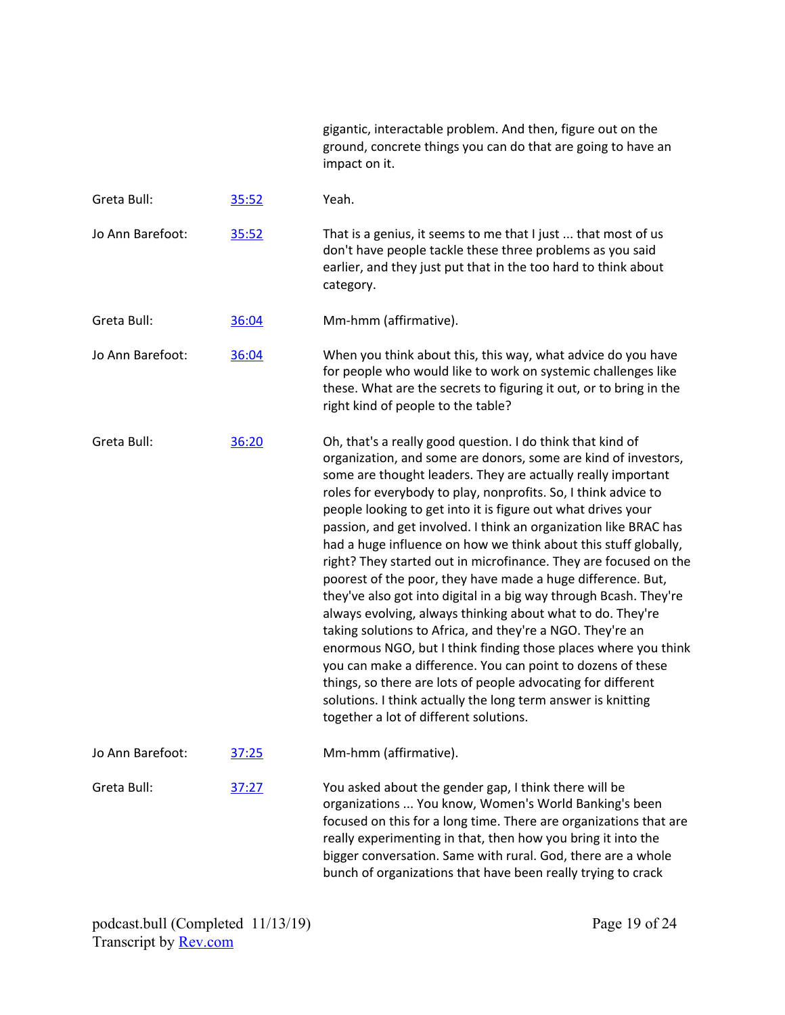| gigantic, interactable problem. And then, figure out on the  |
|--------------------------------------------------------------|
| ground, concrete things you can do that are going to have an |
| impact on it.                                                |

| Greta Bull:      | 35:52 | Yeah.                                                                                                                                                                                                                                                                                                                                                                                                                                                                                                                                                                                                                                                                                                                                                                                                                                                                                                                                                                                                                                                                                                               |
|------------------|-------|---------------------------------------------------------------------------------------------------------------------------------------------------------------------------------------------------------------------------------------------------------------------------------------------------------------------------------------------------------------------------------------------------------------------------------------------------------------------------------------------------------------------------------------------------------------------------------------------------------------------------------------------------------------------------------------------------------------------------------------------------------------------------------------------------------------------------------------------------------------------------------------------------------------------------------------------------------------------------------------------------------------------------------------------------------------------------------------------------------------------|
| Jo Ann Barefoot: | 35:52 | That is a genius, it seems to me that I just  that most of us<br>don't have people tackle these three problems as you said<br>earlier, and they just put that in the too hard to think about<br>category.                                                                                                                                                                                                                                                                                                                                                                                                                                                                                                                                                                                                                                                                                                                                                                                                                                                                                                           |
| Greta Bull:      | 36:04 | Mm-hmm (affirmative).                                                                                                                                                                                                                                                                                                                                                                                                                                                                                                                                                                                                                                                                                                                                                                                                                                                                                                                                                                                                                                                                                               |
| Jo Ann Barefoot: | 36:04 | When you think about this, this way, what advice do you have<br>for people who would like to work on systemic challenges like<br>these. What are the secrets to figuring it out, or to bring in the<br>right kind of people to the table?                                                                                                                                                                                                                                                                                                                                                                                                                                                                                                                                                                                                                                                                                                                                                                                                                                                                           |
| Greta Bull:      | 36:20 | Oh, that's a really good question. I do think that kind of<br>organization, and some are donors, some are kind of investors,<br>some are thought leaders. They are actually really important<br>roles for everybody to play, nonprofits. So, I think advice to<br>people looking to get into it is figure out what drives your<br>passion, and get involved. I think an organization like BRAC has<br>had a huge influence on how we think about this stuff globally,<br>right? They started out in microfinance. They are focused on the<br>poorest of the poor, they have made a huge difference. But,<br>they've also got into digital in a big way through Bcash. They're<br>always evolving, always thinking about what to do. They're<br>taking solutions to Africa, and they're a NGO. They're an<br>enormous NGO, but I think finding those places where you think<br>you can make a difference. You can point to dozens of these<br>things, so there are lots of people advocating for different<br>solutions. I think actually the long term answer is knitting<br>together a lot of different solutions. |
| Jo Ann Barefoot: | 37:25 | Mm-hmm (affirmative).                                                                                                                                                                                                                                                                                                                                                                                                                                                                                                                                                                                                                                                                                                                                                                                                                                                                                                                                                                                                                                                                                               |
| Greta Bull:      | 37:27 | You asked about the gender gap, I think there will be<br>organizations  You know, Women's World Banking's been<br>focused on this for a long time. There are organizations that are<br>really experimenting in that, then how you bring it into the<br>bigger conversation. Same with rural. God, there are a whole<br>bunch of organizations that have been really trying to crack                                                                                                                                                                                                                                                                                                                                                                                                                                                                                                                                                                                                                                                                                                                                 |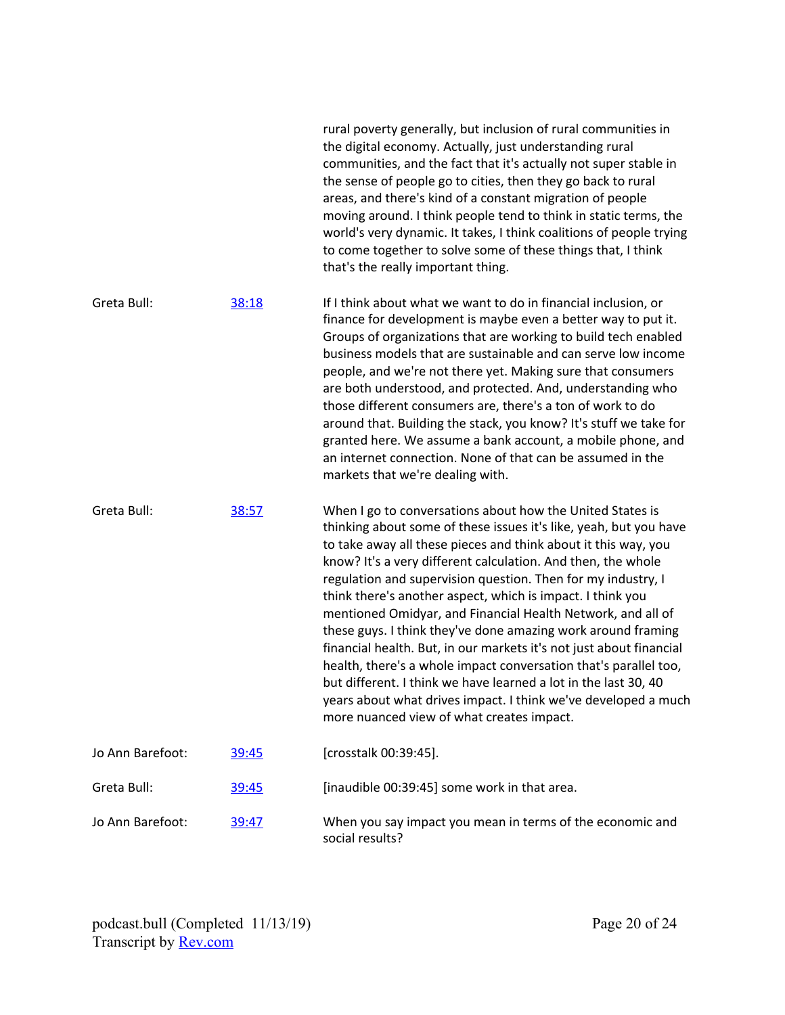|                  |              | the sense of people go to cities, then they go back to rural<br>areas, and there's kind of a constant migration of people<br>moving around. I think people tend to think in static terms, the<br>world's very dynamic. It takes, I think coalitions of people trying<br>to come together to solve some of these things that, I think<br>that's the really important thing.                                                                                                                                                                                                                                                                                                                                                                                                                                                                                 |
|------------------|--------------|------------------------------------------------------------------------------------------------------------------------------------------------------------------------------------------------------------------------------------------------------------------------------------------------------------------------------------------------------------------------------------------------------------------------------------------------------------------------------------------------------------------------------------------------------------------------------------------------------------------------------------------------------------------------------------------------------------------------------------------------------------------------------------------------------------------------------------------------------------|
| Greta Bull:      | 38:18        | If I think about what we want to do in financial inclusion, or<br>finance for development is maybe even a better way to put it.<br>Groups of organizations that are working to build tech enabled<br>business models that are sustainable and can serve low income<br>people, and we're not there yet. Making sure that consumers<br>are both understood, and protected. And, understanding who<br>those different consumers are, there's a ton of work to do<br>around that. Building the stack, you know? It's stuff we take for<br>granted here. We assume a bank account, a mobile phone, and<br>an internet connection. None of that can be assumed in the<br>markets that we're dealing with.                                                                                                                                                        |
| Greta Bull:      | 38:57        | When I go to conversations about how the United States is<br>thinking about some of these issues it's like, yeah, but you have<br>to take away all these pieces and think about it this way, you<br>know? It's a very different calculation. And then, the whole<br>regulation and supervision question. Then for my industry, I<br>think there's another aspect, which is impact. I think you<br>mentioned Omidyar, and Financial Health Network, and all of<br>these guys. I think they've done amazing work around framing<br>financial health. But, in our markets it's not just about financial<br>health, there's a whole impact conversation that's parallel too,<br>but different. I think we have learned a lot in the last 30, 40<br>years about what drives impact. I think we've developed a much<br>more nuanced view of what creates impact. |
| Jo Ann Barefoot: | <u>39:45</u> | [crosstalk 00:39:45].                                                                                                                                                                                                                                                                                                                                                                                                                                                                                                                                                                                                                                                                                                                                                                                                                                      |
| Greta Bull:      | 39:45        | [inaudible 00:39:45] some work in that area.                                                                                                                                                                                                                                                                                                                                                                                                                                                                                                                                                                                                                                                                                                                                                                                                               |
| Jo Ann Barefoot: | <u>39:47</u> | When you say impact you mean in terms of the economic and<br>social results?                                                                                                                                                                                                                                                                                                                                                                                                                                                                                                                                                                                                                                                                                                                                                                               |

rural poverty generally, but inclusion of rural communities in the digital economy. Actually, just understanding rural

communities, and the fact that it's actually not super stable in

podcast.bull (Completed 11/13/19) Transcript by <u>[Rev.com](https://www.rev.com/)</u>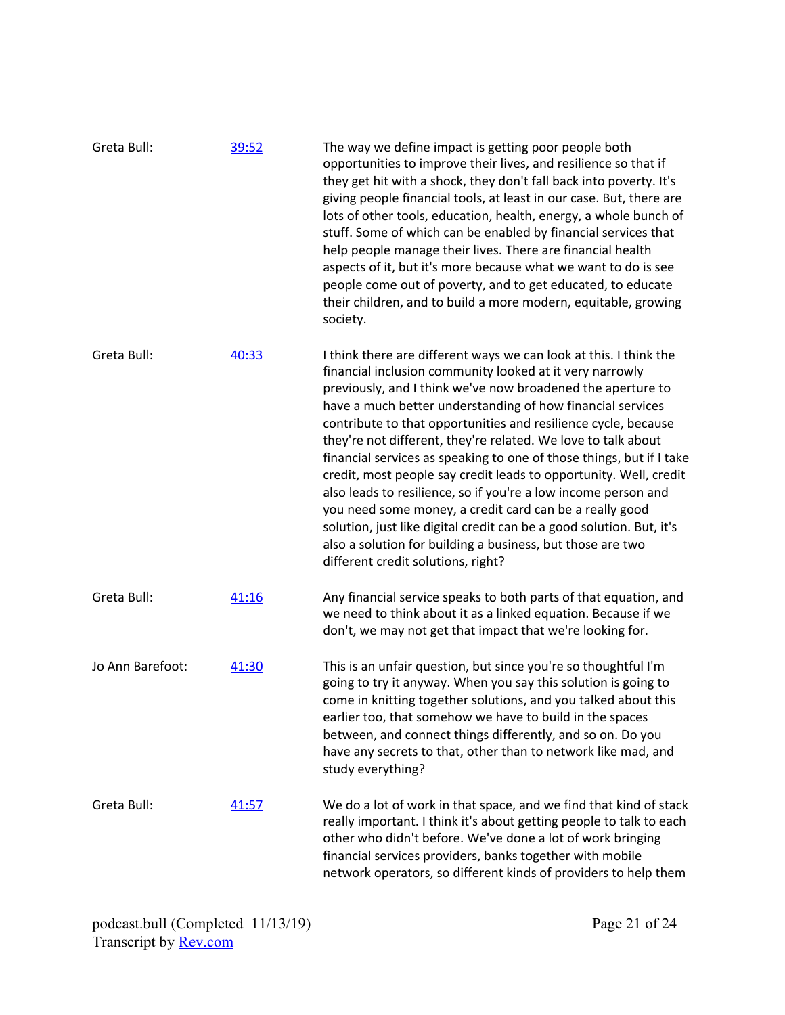| Greta Bull:      | 39:52 | The way we define impact is getting poor people both<br>opportunities to improve their lives, and resilience so that if<br>they get hit with a shock, they don't fall back into poverty. It's<br>giving people financial tools, at least in our case. But, there are<br>lots of other tools, education, health, energy, a whole bunch of<br>stuff. Some of which can be enabled by financial services that<br>help people manage their lives. There are financial health<br>aspects of it, but it's more because what we want to do is see<br>people come out of poverty, and to get educated, to educate<br>their children, and to build a more modern, equitable, growing<br>society.                                                                                                                                                             |
|------------------|-------|-----------------------------------------------------------------------------------------------------------------------------------------------------------------------------------------------------------------------------------------------------------------------------------------------------------------------------------------------------------------------------------------------------------------------------------------------------------------------------------------------------------------------------------------------------------------------------------------------------------------------------------------------------------------------------------------------------------------------------------------------------------------------------------------------------------------------------------------------------|
| Greta Bull:      | 40:33 | I think there are different ways we can look at this. I think the<br>financial inclusion community looked at it very narrowly<br>previously, and I think we've now broadened the aperture to<br>have a much better understanding of how financial services<br>contribute to that opportunities and resilience cycle, because<br>they're not different, they're related. We love to talk about<br>financial services as speaking to one of those things, but if I take<br>credit, most people say credit leads to opportunity. Well, credit<br>also leads to resilience, so if you're a low income person and<br>you need some money, a credit card can be a really good<br>solution, just like digital credit can be a good solution. But, it's<br>also a solution for building a business, but those are two<br>different credit solutions, right? |
| Greta Bull:      | 41:16 | Any financial service speaks to both parts of that equation, and<br>we need to think about it as a linked equation. Because if we<br>don't, we may not get that impact that we're looking for.                                                                                                                                                                                                                                                                                                                                                                                                                                                                                                                                                                                                                                                      |
| Jo Ann Barefoot: | 41:30 | This is an unfair question, but since you're so thoughtful I'm<br>going to try it anyway. When you say this solution is going to<br>come in knitting together solutions, and you talked about this<br>earlier too, that somehow we have to build in the spaces<br>between, and connect things differently, and so on. Do you<br>have any secrets to that, other than to network like mad, and<br>study everything?                                                                                                                                                                                                                                                                                                                                                                                                                                  |
| Greta Bull:      | 41:57 | We do a lot of work in that space, and we find that kind of stack<br>really important. I think it's about getting people to talk to each<br>other who didn't before. We've done a lot of work bringing<br>financial services providers, banks together with mobile<br>network operators, so different kinds of providers to help them                                                                                                                                                                                                                                                                                                                                                                                                                                                                                                               |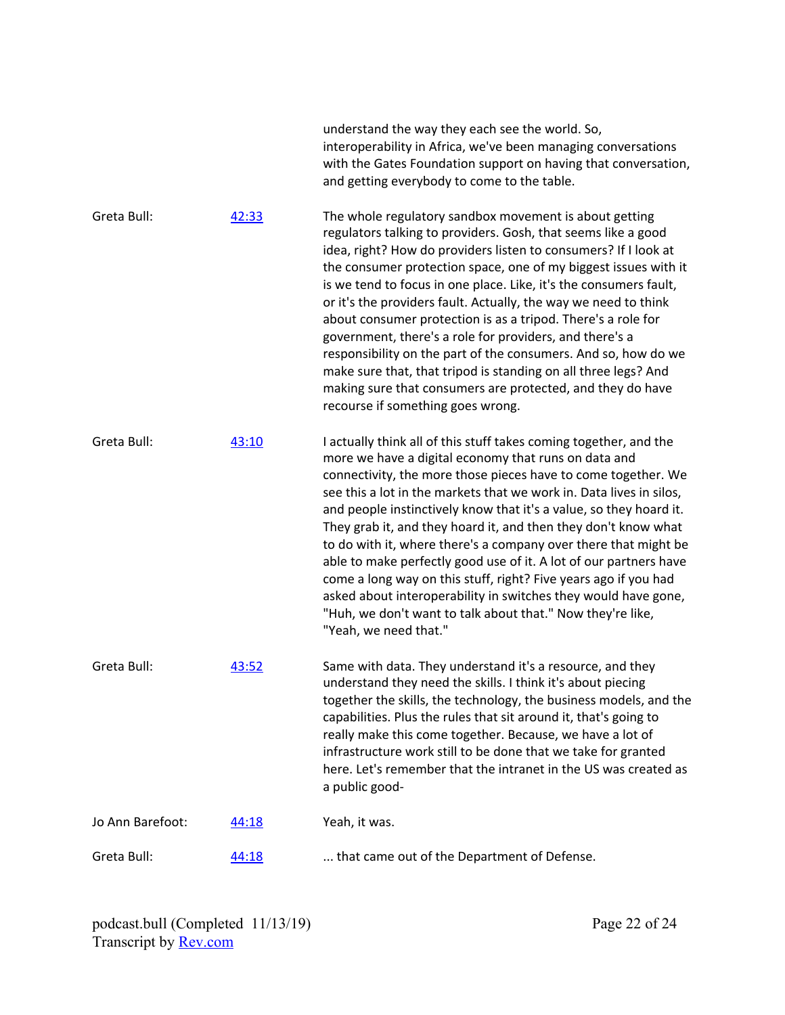|                  |       | understand the way they each see the world. So,<br>interoperability in Africa, we've been managing conversations<br>with the Gates Foundation support on having that conversation,<br>and getting everybody to come to the table.                                                                                                                                                                                                                                                                                                                                                                                                                                                                                                                                             |
|------------------|-------|-------------------------------------------------------------------------------------------------------------------------------------------------------------------------------------------------------------------------------------------------------------------------------------------------------------------------------------------------------------------------------------------------------------------------------------------------------------------------------------------------------------------------------------------------------------------------------------------------------------------------------------------------------------------------------------------------------------------------------------------------------------------------------|
| Greta Bull:      | 42:33 | The whole regulatory sandbox movement is about getting<br>regulators talking to providers. Gosh, that seems like a good<br>idea, right? How do providers listen to consumers? If I look at<br>the consumer protection space, one of my biggest issues with it<br>is we tend to focus in one place. Like, it's the consumers fault,<br>or it's the providers fault. Actually, the way we need to think<br>about consumer protection is as a tripod. There's a role for<br>government, there's a role for providers, and there's a<br>responsibility on the part of the consumers. And so, how do we<br>make sure that, that tripod is standing on all three legs? And<br>making sure that consumers are protected, and they do have<br>recourse if something goes wrong.       |
| Greta Bull:      | 43:10 | I actually think all of this stuff takes coming together, and the<br>more we have a digital economy that runs on data and<br>connectivity, the more those pieces have to come together. We<br>see this a lot in the markets that we work in. Data lives in silos,<br>and people instinctively know that it's a value, so they hoard it.<br>They grab it, and they hoard it, and then they don't know what<br>to do with it, where there's a company over there that might be<br>able to make perfectly good use of it. A lot of our partners have<br>come a long way on this stuff, right? Five years ago if you had<br>asked about interoperability in switches they would have gone,<br>"Huh, we don't want to talk about that." Now they're like,<br>"Yeah, we need that." |
| Greta Bull:      | 43:52 | Same with data. They understand it's a resource, and they<br>understand they need the skills. I think it's about piecing<br>together the skills, the technology, the business models, and the<br>capabilities. Plus the rules that sit around it, that's going to<br>really make this come together. Because, we have a lot of<br>infrastructure work still to be done that we take for granted<br>here. Let's remember that the intranet in the US was created as<br>a public good-                                                                                                                                                                                                                                                                                          |
| Jo Ann Barefoot: | 44:18 | Yeah, it was.                                                                                                                                                                                                                                                                                                                                                                                                                                                                                                                                                                                                                                                                                                                                                                 |
| Greta Bull:      | 44:18 | that came out of the Department of Defense.                                                                                                                                                                                                                                                                                                                                                                                                                                                                                                                                                                                                                                                                                                                                   |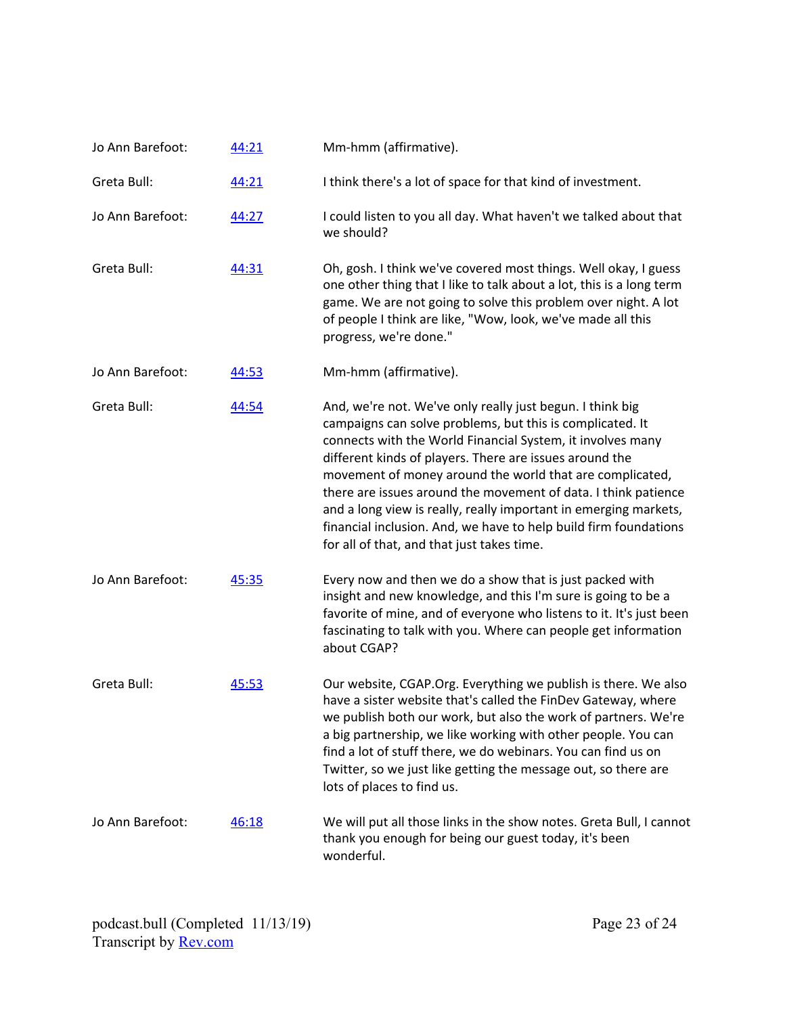| Jo Ann Barefoot: | 44:21 | Mm-hmm (affirmative).                                                                                                                                                                                                                                                                                                                                                                                                                                                                                                                                               |
|------------------|-------|---------------------------------------------------------------------------------------------------------------------------------------------------------------------------------------------------------------------------------------------------------------------------------------------------------------------------------------------------------------------------------------------------------------------------------------------------------------------------------------------------------------------------------------------------------------------|
| Greta Bull:      | 44:21 | I think there's a lot of space for that kind of investment.                                                                                                                                                                                                                                                                                                                                                                                                                                                                                                         |
| Jo Ann Barefoot: | 44:27 | I could listen to you all day. What haven't we talked about that<br>we should?                                                                                                                                                                                                                                                                                                                                                                                                                                                                                      |
| Greta Bull:      | 44:31 | Oh, gosh. I think we've covered most things. Well okay, I guess<br>one other thing that I like to talk about a lot, this is a long term<br>game. We are not going to solve this problem over night. A lot<br>of people I think are like, "Wow, look, we've made all this<br>progress, we're done."                                                                                                                                                                                                                                                                  |
| Jo Ann Barefoot: | 44:53 | Mm-hmm (affirmative).                                                                                                                                                                                                                                                                                                                                                                                                                                                                                                                                               |
| Greta Bull:      | 44:54 | And, we're not. We've only really just begun. I think big<br>campaigns can solve problems, but this is complicated. It<br>connects with the World Financial System, it involves many<br>different kinds of players. There are issues around the<br>movement of money around the world that are complicated,<br>there are issues around the movement of data. I think patience<br>and a long view is really, really important in emerging markets,<br>financial inclusion. And, we have to help build firm foundations<br>for all of that, and that just takes time. |
| Jo Ann Barefoot: | 45:35 | Every now and then we do a show that is just packed with<br>insight and new knowledge, and this I'm sure is going to be a<br>favorite of mine, and of everyone who listens to it. It's just been<br>fascinating to talk with you. Where can people get information<br>about CGAP?                                                                                                                                                                                                                                                                                   |
| Greta Bull:      | 45:53 | Our website, CGAP.Org. Everything we publish is there. We also<br>have a sister website that's called the FinDev Gateway, where<br>we publish both our work, but also the work of partners. We're<br>a big partnership, we like working with other people. You can<br>find a lot of stuff there, we do webinars. You can find us on<br>Twitter, so we just like getting the message out, so there are<br>lots of places to find us.                                                                                                                                 |
| Jo Ann Barefoot: | 46:18 | We will put all those links in the show notes. Greta Bull, I cannot<br>thank you enough for being our guest today, it's been<br>wonderful.                                                                                                                                                                                                                                                                                                                                                                                                                          |